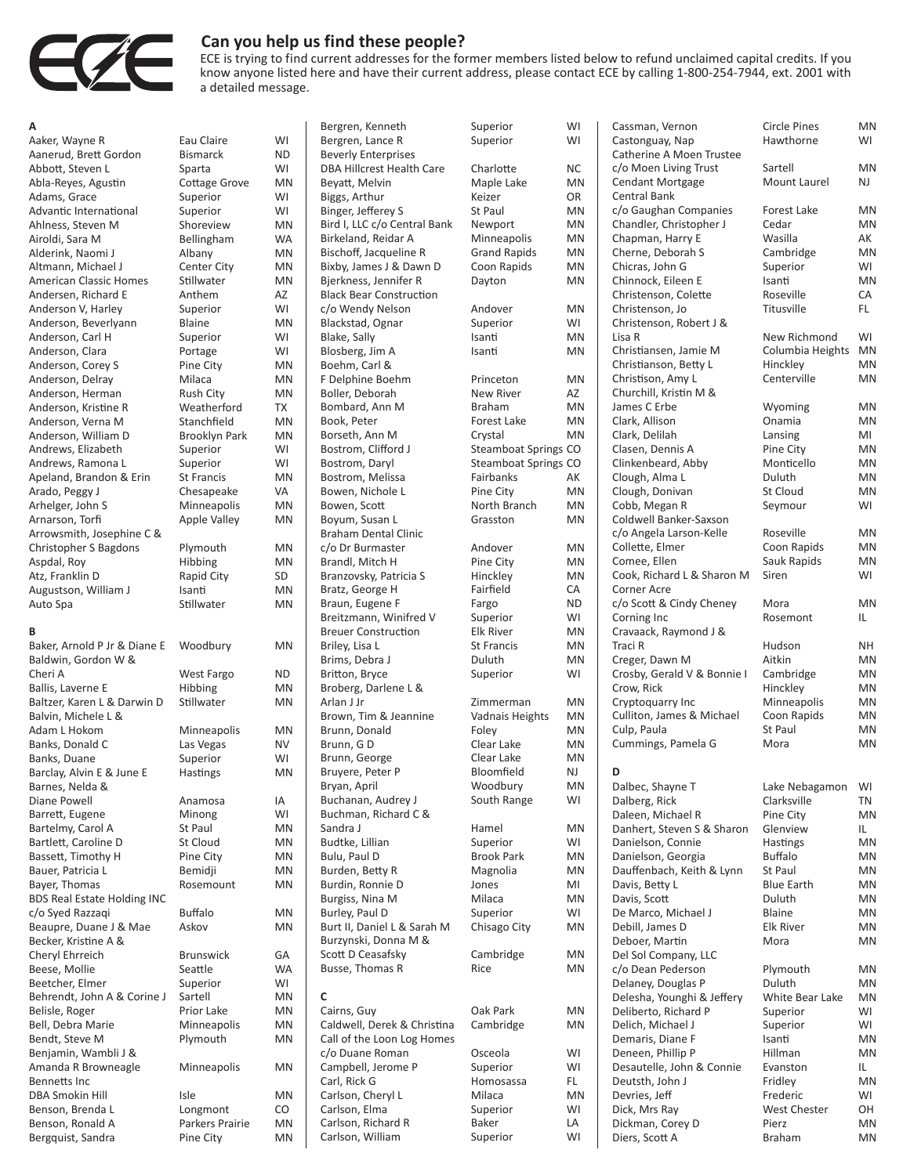

## **Can you help us find these people?**

ECE is trying to find current addresses for the former members listed below to refund unclaimed capital credits. If you know anyone listed here and have their current address, please contact ECE by calling 1-800-254-7944, ext. 2001 with a detailed message.

| Α                                  |                      |           |
|------------------------------------|----------------------|-----------|
| Aaker, Wayne R                     | Eau Claire           | WI        |
| Aanerud, Brett Gordon              | Bismarck             | ND        |
| Abbott, Steven L                   | Sparta               | WI        |
|                                    |                      |           |
| Abla-Reyes, Agustin                | <b>Cottage Grove</b> | ΜN        |
| Adams, Grace                       | Superior             | WI        |
| Advantic International             | Superior             | WI        |
| Ahlness, Steven M                  | Shoreview            | ΜN        |
| Airoldi, Sara M                    | Bellingham           | <b>WA</b> |
| Alderink, Naomi J                  |                      | MN        |
|                                    | Albany               |           |
| Altmann, Michael J                 | Center City          | ΜN        |
| <b>American Classic Homes</b>      | Stillwater           | <b>MN</b> |
| Andersen, Richard E                | Anthem               | AZ        |
| Anderson V, Harley                 | Superior             | WI        |
| Anderson, Beverlyann               | <b>Blaine</b>        | MN        |
|                                    |                      |           |
| Anderson, Carl H                   | Superior             | WI        |
| Anderson, Clara                    | Portage              | WI        |
| Anderson, Corey S                  | Pine City            | ΜN        |
| Anderson, Delray                   | Milaca               | ΜN        |
| Anderson, Herman                   | Rush City            | ΜN        |
| Anderson, Kristine R               | Weatherford          | ТX        |
|                                    |                      |           |
| Anderson, Verna M                  | Stanchfield          | ΜN        |
| Anderson, William D                | Brooklyn Park        | MN        |
| Andrews, Elizabeth                 | Superior             | WI        |
| Andrews, Ramona L                  | Superior             | WI        |
| Apeland, Brandon & Erin            | <b>St Francis</b>    | ΜN        |
| Arado, Peggy J                     | Chesapeake           | VA        |
|                                    |                      |           |
| Arhelger, John S                   | Minneapolis          | ΜN        |
| Arnarson, Torfi                    | <b>Apple Valley</b>  | MN        |
| Arrowsmith, Josephine C &          |                      |           |
| Christopher S Bagdons              | Plymouth             | ΜN        |
| Aspdal, Roy                        | Hibbing              | ΜN        |
| Atz, Franklin D                    |                      | SD        |
|                                    | Rapid City           |           |
| Augustson, William J               | Isanti               | MN        |
| Auto Spa                           | Stillwater           | ΜN        |
|                                    |                      |           |
| B                                  |                      |           |
| Baker, Arnold P Jr & Diane E       | Woodbury             | ΜN        |
|                                    |                      |           |
| Baldwin, Gordon W &                |                      |           |
| Cheri A                            | West Fargo           | ND        |
| Ballis, Laverne E                  | Hibbing              | ΜN        |
| Baltzer, Karen L & Darwin D        | Stillwater           | ΜN        |
| Balvin, Michele L &                |                      |           |
| Adam L Hokom                       | Minneapolis          | ΜN        |
|                                    |                      | NV        |
| Banks, Donald C                    | Las Vegas            |           |
| Banks, Duane                       | Superior             | WI        |
| Barclay, Alvin E & June E          | Hastings             | MN        |
| Barnes, Nelda &                    |                      |           |
| Diane Powell                       | Anamosa              | ΙA        |
| Barrett, Eugene                    | Minong               | WI        |
|                                    |                      |           |
| Bartelmy, Carol A                  | St Paul              | ΜN        |
| Bartlett, Caroline D               | St Cloud             | ΜN        |
| Bassett, Timothy H                 | Pine City            | ΜN        |
| Bauer, Patricia L                  | Bemidji              | ΜN        |
| Bayer, Thomas                      | Rosemount            | ΜN        |
| <b>BDS Real Estate Holding INC</b> |                      |           |
|                                    | Buffalo              | ΜN        |
| c/o Syed Razzaqi                   |                      |           |
| Beaupre, Duane J & Mae             | Askov                | MN        |
| Becker, Kristine A &               |                      |           |
| Cheryl Ehrreich                    | Brunswick            | GА        |
| Beese, Mollie                      | Seattle              | WA        |
| Beetcher, Elmer                    | Superior             | WI        |
|                                    |                      |           |
| Behrendt, John A & Corine J        | Sartell              | ΜN        |
| Belisle, Roger                     | Prior Lake           | ΜN        |
| Bell, Debra Marie                  | Minneapolis          | ΜN        |
| Bendt, Steve M                     | Plymouth             | MN        |
| Benjamin, Wambli J &               |                      |           |
| Amanda R Browneagle                | Minneapolis          | ΜN        |
|                                    |                      |           |
| Bennetts Inc                       |                      |           |
| DBA Smokin Hill                    | Isle                 | ΜN        |
| Benson, Brenda L                   | Longmont             | CO        |
| Benson, Ronald A                   | Parkers Prairie      | ΜN        |
| Bergquist, Sandra                  | Pine City            | ΜN        |
|                                    |                      |           |

| Bergren, Kenneth                 | Superior               | WI  |
|----------------------------------|------------------------|-----|
| Bergren, Lance R                 | Superior               | WI  |
| <b>Beverly Enterprises</b>       |                        |     |
| <b>DBA Hillcrest Health Care</b> | Charlotte              | ΝC  |
| Beyatt, Melvin                   | Maple Lake             | MN  |
| Biggs, Arthur                    | Keizer                 | OR  |
| Binger, Jefferey S               | St Paul                | MN  |
| Bird I, LLC c/o Central Bank     | Newport                | MN  |
| Birkeland, Reidar A              |                        | MN  |
|                                  | Minneapolis            |     |
| Bischoff, Jacqueline R           | <b>Grand Rapids</b>    | MN  |
| Bixby, James J & Dawn D          | Coon Rapids            | MN  |
| Bjerkness, Jennifer R            | Dayton                 | MN  |
| <b>Black Bear Construction</b>   |                        |     |
| c/o Wendy Nelson                 | Andover                | MN  |
| Blackstad, Ognar                 | Superior               | WI  |
| Blake, Sally                     | Isanti                 | MN  |
| Blosberg, Jim A                  | Isanti                 | MN  |
| Boehm, Carl &                    |                        |     |
| F Delphine Boehm                 | Princeton              | MN  |
| Boller, Deborah                  | <b>New River</b>       | AZ  |
| Bombard, Ann M                   | <b>Braham</b>          | MN  |
| Book, Peter                      | Forest Lake            | MN  |
| Borseth, Ann M                   | Crystal                | MN  |
| Bostrom, Clifford J              | Steamboat Springs CO   |     |
| Bostrom, Daryl                   | Steamboat Springs CO   |     |
| Bostrom, Melissa                 | Fairbanks              | AK  |
| Bowen, Nichole L                 | Pine City              | MN  |
| Bowen, Scott                     | North Branch           | MN  |
| Boyum, Susan L                   | Grasston               | MN  |
| <b>Braham Dental Clinic</b>      |                        |     |
| c/o Dr Burmaster                 | Andover                | MN  |
| Brandl, Mitch H                  | Pine City              | MN  |
| Branzovsky, Patricia S           | Hinckley               | MN  |
|                                  | Fairfield              | CA  |
| Bratz, George H                  |                        |     |
| Braun, Eugene F                  | Fargo                  | ND. |
| Breitzmann, Winifred V           | Superior               | WI  |
| <b>Breuer Construction</b>       | <b>Elk River</b>       | MN  |
| Briley, Lisa L                   | <b>St Francis</b>      | MN  |
| Brims, Debra J                   | Duluth                 | MN  |
| Britton, Bryce                   | Superior               | WI  |
| Broberg, Darlene L &             |                        |     |
| Arlan J Jr                       | Zimmerman              | ΜN  |
| Brown, Tim & Jeannine            | <b>Vadnais Heights</b> | MN  |
| Brunn, Donald                    | Foley                  | MN  |
| Brunn, GD                        | Clear Lake             | MN  |
| Brunn, George                    | Clear Lake             | MN  |
| Bruyere, Peter P                 | Bloomfield             | NJ  |
| Bryan, April                     | Woodbury               | MN  |
| Buchanan, Audrey J               | South Range            | WI  |
| Buchman, Richard C &             |                        |     |
| Sandra J                         | Hamel                  | MN  |
| Budtke, Lillian                  | Superior               | WI  |
| Bulu, Paul D                     | <b>Brook Park</b>      | MN  |
| Burden, Betty R                  | Magnolia               | MN  |
| Burdin, Ronnie D                 | Jones                  | MI  |
| Burgiss, Nina M                  | Milaca                 | MN  |
| Burley, Paul D                   | Superior               | WI  |
| Burt II, Daniel L & Sarah M      |                        | MN  |
|                                  | Chisago City           |     |
| Burzynski, Donna M &             |                        |     |
| Scott D Ceasafsky                | Cambridge              | MN  |
| Busse, Thomas R                  | Rice                   | MN  |
|                                  |                        |     |
| c                                |                        |     |
| Cairns, Guy                      | Oak Park               | MN  |
| Caldwell, Derek & Christina      | Cambridge              | MN  |
| Call of the Loon Log Homes       |                        |     |
| c/o Duane Roman                  | Osceola                | WI  |
| Campbell, Jerome P               | Superior               | WI  |
| Carl, Rick G                     | Homosassa              | FL  |
| Carlson, Cheryl L                | Milaca                 | MN  |
| Carlson, Elma                    | Superior               | WI  |

| Bergren, Kenneth                  | Superior                          | WI        |
|-----------------------------------|-----------------------------------|-----------|
| Bergren, Lance R                  | Superior                          | WI        |
| <b>Beverly Enterprises</b>        |                                   |           |
| <b>DBA Hillcrest Health Care</b>  | Charlotte                         | NC        |
| Beyatt, Melvin                    | Maple Lake                        | Mľ        |
| Biggs, Arthur                     | Keizer                            | OR        |
| Binger, Jefferey S                | St Paul                           | MN        |
| Bird I, LLC c/o Central Bank      | Newport                           | M١        |
| Birkeland, Reidar A               | Minneapolis                       | M١        |
| Bischoff, Jacqueline R            | <b>Grand Rapids</b>               | M١        |
| Bixby, James J & Dawn D           | Coon Rapids                       | M         |
| Bjerkness, Jennifer R             | Dayton                            | M١        |
| <b>Black Bear Construction</b>    |                                   |           |
| c/o Wendy Nelson                  | Andover                           | M١        |
| Blackstad, Ognar                  | Superior                          | WI        |
| Blake, Sally                      | Isanti                            | M         |
| Blosberg, Jim A                   | Isanti                            | M١        |
| Boehm, Carl &                     |                                   |           |
| F Delphine Boehm                  | Princeton                         | M١        |
| Boller, Deborah<br>Bombard, Ann M | <b>New River</b><br><b>Braham</b> | AZ<br>Mľ  |
| Book, Peter                       | <b>Forest Lake</b>                | M         |
| Borseth, Ann M                    | Crystal                           | M         |
| Bostrom, Clifford J               | Steamboat Springs CO              |           |
| Bostrom, Daryl                    | <b>Steamboat Springs CO</b>       |           |
| Bostrom, Melissa                  | Fairbanks                         | AK        |
| Bowen, Nichole L                  | Pine City                         | Mľ        |
| Bowen, Scott                      | North Branch                      | MN        |
| Boyum, Susan L                    | Grasston                          | Mľ        |
| <b>Braham Dental Clinic</b>       |                                   |           |
| c/o Dr Burmaster                  | Andover                           | M١        |
| Brandl, Mitch H                   | Pine City                         | Mľ        |
| Branzovsky, Patricia S            | Hinckley                          | M         |
| Bratz, George H                   | Fairfield                         | СA        |
| Braun, Eugene F                   | Fargo                             | <b>ND</b> |
| Breitzmann, Winifred V            | Superior                          | WI        |
| <b>Breuer Construction</b>        | <b>Elk River</b>                  | M١        |
| Briley, Lisa L                    | <b>St Francis</b>                 | Mľ        |
| Brims, Debra J                    | Duluth                            | M١        |
| Britton, Bryce                    | Superior                          | WI        |
| Broberg, Darlene L &              |                                   |           |
| Arlan J Jr                        | Zimmerman                         | M١        |
| Brown, Tim & Jeannine             | Vadnais Heights                   | M١        |
| Brunn, Donald<br>Brunn, GD        | Foley<br>Clear Lake               | M١<br>M١  |
|                                   | Clear Lake                        | M         |
| Brunn, George<br>Bruyere, Peter P | Bloomfield                        | NJ        |
| Bryan, April                      | Woodbury                          | M١        |
| Buchanan, Audrey J                | South Range                       | WI        |
| Buchman, Richard C &              |                                   |           |
| Sandra J                          | Hamel                             | M١        |
| Budtke, Lillian                   | Superior                          | WI        |
| Bulu, Paul D                      | <b>Brook Park</b>                 | M١        |
| Burden, Betty R                   | Magnolia                          | M١        |
| Burdin, Ronnie D                  | Jones                             | MI        |
| Burgiss, Nina M                   | Milaca                            | M١        |
| Burley, Paul D                    | Superior                          | WI        |
| Burt II, Daniel L & Sarah M       | Chisago City                      | M١        |
| Burzynski, Donna M &              |                                   |           |
| Scott D Ceasafsky                 | Cambridge                         | M١        |
| Busse, Thomas R                   | Rice                              | M١        |
| c<br>Cairns, Guy                  | Oak Park                          | M١        |
| Caldwell, Derek & Christina       | Cambridge                         | M١        |
| Call of the Loon Log Homes        |                                   |           |
| c/o Duane Roman                   | Osceola                           | WI        |
| Campbell, Jerome P                | Superior                          | WI        |
| Carl, Rick G                      | Homosassa                         | FL.       |
| Carlson, Cheryl L                 | Milaca                            | Mľ        |
| Carlson, Elma                     | Superior                          | WI        |
| Carlson, Richard R                | Baker                             | LA        |
| Carlson, William                  | Superior                          | WI        |

| Cassman, Vernon<br>Castonguay, Nap<br>Catherine A Moen Trustee | <b>Circle Pines</b><br>Hawthorne  | MN<br>WI |
|----------------------------------------------------------------|-----------------------------------|----------|
| c/o Moen Living Trust<br><b>Cendant Mortgage</b>               | Sartell<br>Mount Laurel           | MN<br>NJ |
| <b>Central Bank</b><br>c/o Gaughan Companies                   | <b>Forest Lake</b>                | MN       |
| Chandler, Christopher J                                        | Cedar                             | MN       |
| Chapman, Harry E                                               | Wasilla                           | AK       |
| Cherne, Deborah S                                              | Cambridge                         | MN       |
| Chicras, John G<br>Chinnock, Eileen E                          | Superior<br>Isanti                | WI<br>MN |
| Christenson, Colette                                           | Roseville                         | CA       |
| Christenson, Jo                                                | Titusville                        | FL.      |
| Christenson, Robert J &                                        |                                   |          |
| Lisa R                                                         | New Richmond                      | WI       |
| Christiansen, Jamie M<br>Christianson, Betty L                 | Columbia Heights<br>Hinckley      | MN<br>MN |
| Christison, Amy L                                              | Centerville                       | MN       |
| Churchill, Kristin M &                                         |                                   |          |
| James C Erbe                                                   | Wyoming                           | MN       |
| Clark, Allison                                                 | Onamia                            | MN       |
| Clark, Delilah<br>Clasen, Dennis A                             | Lansing<br>Pine City              | MI<br>MN |
| Clinkenbeard, Abby                                             | Monticello                        | MN       |
| Clough, Alma L                                                 | Duluth                            | MN       |
| Clough, Donivan                                                | St Cloud                          | MN       |
| Cobb, Megan R                                                  | Seymour                           | WI       |
| Coldwell Banker-Saxson<br>c/o Angela Larson-Kelle              | Roseville                         | MN       |
| Collette, Elmer                                                | Coon Rapids                       | MN       |
| Comee, Ellen                                                   | Sauk Rapids                       | MN       |
| Cook, Richard L & Sharon M                                     | Siren                             | WI       |
| Corner Acre                                                    |                                   |          |
| c/o Scott & Cindy Cheney<br>Corning Inc                        | Mora<br>Rosemont                  | MN<br>IL |
| Cravaack, Raymond J &                                          |                                   |          |
| Traci R                                                        | Hudson                            | NΗ       |
| Creger, Dawn M                                                 | Aitkin                            | MN       |
| Crosby, Gerald V & Bonnie I                                    | Cambridge                         | MN       |
| Crow, Rick<br>Cryptoquarry Inc                                 | Hinckley<br>Minneapolis           | MN<br>MN |
| Culliton, James & Michael                                      | Coon Rapids                       | MN       |
| Culp, Paula                                                    | <b>St Paul</b>                    | MN       |
| Cummings, Pamela G                                             | Mora                              | MN       |
| D                                                              |                                   |          |
| Dalbec, Shayne T                                               | Lake Nebagamon                    | WI       |
| Dalberg, Rick                                                  | Clarksville                       | ΤN       |
| Daleen, Michael R                                              | Pine City                         | MN       |
| Danhert, Steven S & Sharon                                     | Glenview                          | IL<br>MN |
| Danielson, Connie<br>Danielson, Georgia                        | Hastings<br><b>Buffalo</b>        | MN       |
| Dauffenbach, Keith & Lynn                                      | <b>St Paul</b>                    | MN       |
| Davis, Betty L                                                 | <b>Blue Earth</b>                 | MN       |
| Davis, Scott                                                   | Duluth                            | MN       |
| De Marco, Michael J<br>Debill, James D                         | <b>Blaine</b><br><b>Elk River</b> | MN<br>MN |
| Deboer, Martin                                                 | Mora                              | MN       |
| Del Sol Company, LLC                                           |                                   |          |
| c/o Dean Pederson                                              | Plymouth                          | MN       |
| Delaney, Douglas P                                             | Duluth                            | MN       |
| Delesha, Younghi & Jeffery                                     | White Bear Lake                   | MN       |
| Deliberto, Richard P<br>Delich, Michael J                      | Superior<br>Superior              | WI<br>WI |
| Demaris, Diane F                                               | Isanti                            | MN       |
| Deneen, Phillip P                                              | Hillman                           | MN       |
| Desautelle, John & Connie                                      | Evanston                          | IL       |
| Deutsth, John J                                                | Fridley                           | MN       |
| Devries, Jeff<br>Dick, Mrs Ray                                 | Frederic<br>West Chester          | WI<br>OН |
| Dickman, Corey D                                               | Pierz                             | MN       |
| Diers, Scott A                                                 | Braham                            | MN       |
|                                                                |                                   |          |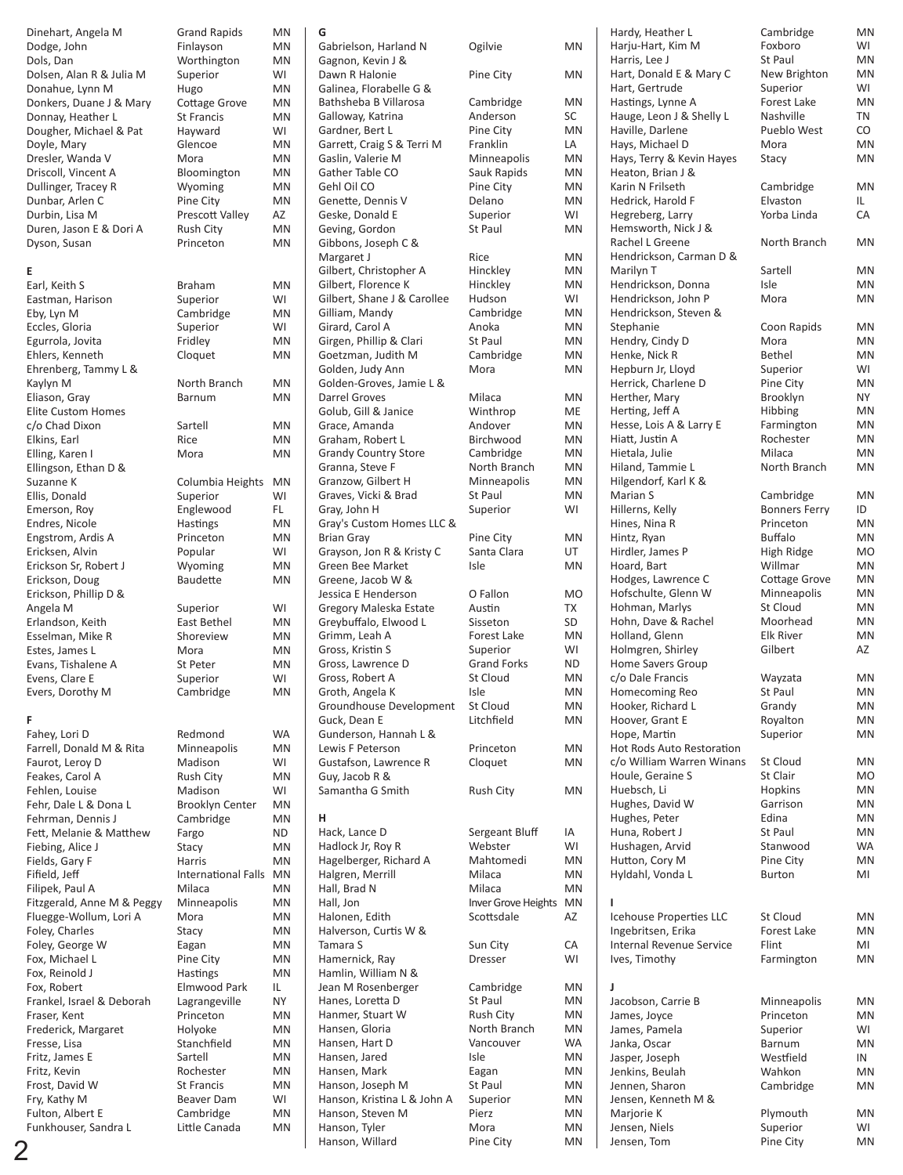| Dinehart, Angela M         | <b>Grand Rapids</b>        | <b>MN</b> | G                           |                     |           | Hardy, Heather L          | Cambridge            | <b>MN</b> |
|----------------------------|----------------------------|-----------|-----------------------------|---------------------|-----------|---------------------------|----------------------|-----------|
| Dodge, John                | Finlayson                  | <b>MN</b> | Gabrielson, Harland N       | Ogilvie             | MN        | Harju-Hart, Kim M         | Foxboro              | WI        |
| Dols, Dan                  | Worthington                | <b>MN</b> | Gagnon, Kevin J &           |                     |           | Harris, Lee J             | St Paul              | <b>MN</b> |
|                            |                            |           |                             |                     |           | Hart, Donald E & Mary C   |                      | <b>MN</b> |
| Dolsen, Alan R & Julia M   | Superior                   | WI        | Dawn R Halonie              | Pine City           | <b>MN</b> |                           | New Brighton         |           |
| Donahue, Lynn M            | Hugo                       | <b>MN</b> | Galinea, Florabelle G &     |                     |           | Hart, Gertrude            | Superior             | WI        |
| Donkers, Duane J & Mary    | Cottage Grove              | <b>MN</b> | Bathsheba B Villarosa       | Cambridge           | MN        | Hastings, Lynne A         | Forest Lake          | <b>MN</b> |
| Donnay, Heather L          | <b>St Francis</b>          | <b>MN</b> | Galloway, Katrina           | Anderson            | SC        | Hauge, Leon J & Shelly L  | Nashville            | TN        |
| Dougher, Michael & Pat     | Hayward                    | WI        | Gardner, Bert L             | Pine City           | MN        | Haville, Darlene          | Pueblo West          | CO        |
| Doyle, Mary                | Glencoe                    | MN        | Garrett, Craig S & Terri M  | Franklin            | LA        | Hays, Michael D           | Mora                 | <b>MN</b> |
|                            |                            | <b>MN</b> |                             |                     | <b>MN</b> |                           | Stacy                | MN        |
| Dresler, Wanda V           | Mora                       |           | Gaslin, Valerie M           | Minneapolis         |           | Hays, Terry & Kevin Hayes |                      |           |
| Driscoll, Vincent A        | Bloomington                | MN        | Gather Table CO             | Sauk Rapids         | <b>MN</b> | Heaton, Brian J &         |                      |           |
| Dullinger, Tracey R        | Wyoming                    | <b>MN</b> | Gehl Oil CO                 | Pine City           | MN        | Karin N Frilseth          | Cambridge            | <b>MN</b> |
| Dunbar, Arlen C            | Pine City                  | MN        | Genette, Dennis V           | Delano              | <b>MN</b> | Hedrick, Harold F         | Elvaston             | IL        |
| Durbin, Lisa M             | Prescott Valley            | AZ        | Geske, Donald E             | Superior            | WI        | Hegreberg, Larry          | Yorba Linda          | CA        |
| Duren, Jason E & Dori A    | <b>Rush City</b>           | MN        | Geving, Gordon              | St Paul             | <b>MN</b> | Hemsworth, Nick J &       |                      |           |
| Dyson, Susan               | Princeton                  | <b>MN</b> | Gibbons, Joseph C &         |                     |           | Rachel L Greene           | North Branch         | <b>MN</b> |
|                            |                            |           |                             |                     |           |                           |                      |           |
|                            |                            |           | Margaret J                  | Rice                | <b>MN</b> | Hendrickson, Carman D &   |                      |           |
| Е                          |                            |           | Gilbert, Christopher A      | Hinckley            | <b>MN</b> | Marilyn T                 | Sartell              | <b>MN</b> |
| Earl, Keith S              | Braham                     | <b>MN</b> | Gilbert, Florence K         | Hinckley            | MN        | Hendrickson, Donna        | Isle                 | MN        |
| Eastman, Harison           | Superior                   | WI        | Gilbert, Shane J & Carollee | Hudson              | WI        | Hendrickson, John P       | Mora                 | MN        |
| Eby, Lyn M                 | Cambridge                  | <b>MN</b> | Gilliam, Mandy              | Cambridge           | MN        | Hendrickson, Steven &     |                      |           |
| Eccles, Gloria             | Superior                   | WI        | Girard, Carol A             | Anoka               | <b>MN</b> | Stephanie                 | Coon Rapids          | MN        |
|                            |                            |           |                             |                     |           |                           |                      |           |
| Egurrola, Jovita           | Fridley                    | <b>MN</b> | Girgen, Phillip & Clari     | St Paul             | <b>MN</b> | Hendry, Cindy D           | Mora                 | <b>MN</b> |
| Ehlers, Kenneth            | Cloquet                    | MN        | Goetzman, Judith M          | Cambridge           | <b>MN</b> | Henke, Nick R             | <b>Bethel</b>        | <b>MN</b> |
| Ehrenberg, Tammy L &       |                            |           | Golden, Judy Ann            | Mora                | <b>MN</b> | Hepburn Jr, Lloyd         | Superior             | WI        |
| Kaylyn M                   | North Branch               | MN        | Golden-Groves, Jamie L &    |                     |           | Herrick, Charlene D       | Pine City            | <b>MN</b> |
| Eliason, Gray              | Barnum                     | <b>MN</b> | Darrel Groves               | Milaca              | <b>MN</b> | Herther, Mary             | Brooklyn             | <b>NY</b> |
| <b>Elite Custom Homes</b>  |                            |           |                             | Winthrop            | ME        | Herting, Jeff A           | Hibbing              | <b>MN</b> |
|                            |                            |           | Golub, Gill & Janice        |                     |           |                           |                      |           |
| c/o Chad Dixon             | Sartell                    | MN        | Grace, Amanda               | Andover             | <b>MN</b> | Hesse, Lois A & Larry E   | Farmington           | <b>MN</b> |
| Elkins, Earl               | Rice                       | <b>MN</b> | Graham, Robert L            | Birchwood           | <b>MN</b> | Hiatt, Justin A           | Rochester            | MN        |
| Elling, Karen I            | Mora                       | MN        | <b>Grandy Country Store</b> | Cambridge           | MN        | Hietala, Julie            | Milaca               | MN        |
| Ellingson, Ethan D &       |                            |           | Granna, Steve F             | North Branch        | MN        | Hiland, Tammie L          | North Branch         | MN        |
| Suzanne K                  |                            | MN        |                             |                     | <b>MN</b> | Hilgendorf, Karl K &      |                      |           |
|                            | Columbia Heights           |           | Granzow, Gilbert H          | Minneapolis         |           |                           |                      |           |
| Ellis, Donald              | Superior                   | WI        | Graves, Vicki & Brad        | St Paul             | <b>MN</b> | Marian S                  | Cambridge            | <b>MN</b> |
| Emerson, Roy               | Englewood                  | FL        | Gray, John H                | Superior            | WI        | Hillerns, Kelly           | <b>Bonners Ferry</b> | ID        |
| Endres, Nicole             | Hastings                   | <b>MN</b> | Gray's Custom Homes LLC &   |                     |           | Hines, Nina R             | Princeton            | <b>MN</b> |
| Engstrom, Ardis A          | Princeton                  | MN        | <b>Brian Gray</b>           | Pine City           | <b>MN</b> | Hintz, Ryan               | <b>Buffalo</b>       | <b>MN</b> |
|                            |                            | WI        | Grayson, Jon R & Kristy C   | Santa Clara         | UT        | Hirdler, James P          | High Ridge           | <b>MO</b> |
| Ericksen, Alvin            | Popular                    |           |                             |                     |           |                           |                      |           |
| Erickson Sr, Robert J      | Wyoming                    | MN        | Green Bee Market            | Isle                | <b>MN</b> | Hoard, Bart               | Willmar              | <b>MN</b> |
| Erickson, Doug             | Baudette                   | <b>MN</b> | Greene, Jacob W &           |                     |           | Hodges, Lawrence C        | <b>Cottage Grove</b> | MN        |
| Erickson, Phillip D &      |                            |           | Jessica E Henderson         | O Fallon            | <b>MO</b> | Hofschulte, Glenn W       | Minneapolis          | <b>MN</b> |
| Angela M                   | Superior                   | WI        | Gregory Maleska Estate      | Austin              | TX        | Hohman, Marlys            | St Cloud             | MN        |
| Erlandson, Keith           | East Bethel                | <b>MN</b> | Greybuffalo, Elwood L       | Sisseton            | SD        | Hohn, Dave & Rachel       | Moorhead             | <b>MN</b> |
|                            |                            |           |                             |                     |           |                           |                      |           |
| Esselman, Mike R           | Shoreview                  | MN        | Grimm, Leah A               | Forest Lake         | <b>MN</b> | Holland, Glenn            | <b>Elk River</b>     | MN        |
| Estes, James L             | Mora                       | MN        | Gross, Kristin S            | Superior            | WI        | Holmgren, Shirley         | Gilbert              | AZ        |
| Evans, Tishalene A         | St Peter                   | MN        | Gross, Lawrence D           | <b>Grand Forks</b>  | <b>ND</b> | Home Savers Group         |                      |           |
| Evens, Clare E             | Superior                   | WI        | Gross, Robert A             | St Cloud            | <b>MN</b> | c/o Dale Francis          | Wayzata              | <b>MN</b> |
| Evers, Dorothy M           | Cambridge                  | MN        | Groth, Angela K             | Isle                | <b>MN</b> | Homecoming Reo            | St Paul              | <b>MN</b> |
|                            |                            |           |                             |                     | <b>MN</b> |                           | Grandy               | <b>MN</b> |
|                            |                            |           | Groundhouse Development     | St Cloud            |           | Hooker, Richard L         |                      |           |
| F.                         |                            |           | Guck, Dean E                | Litchfield          | <b>MN</b> | Hoover, Grant E           | Royalton             | <b>MN</b> |
| Fahey, Lori D              | Redmond                    | <b>WA</b> | Gunderson, Hannah L &       |                     |           | Hope, Martin              | Superior             | MN        |
| Farrell, Donald M & Rita   | Minneapolis                | MN        | Lewis F Peterson            | Princeton           | MN        | Hot Rods Auto Restoration |                      |           |
| Faurot, Leroy D            | Madison                    | WI        | Gustafson, Lawrence R       | Cloquet             | MN        | c/o William Warren Winans | St Cloud             | MN        |
| Feakes, Carol A            |                            | <b>MN</b> | Guy, Jacob R &              |                     |           | Houle, Geraine S          | St Clair             | <b>MO</b> |
|                            | <b>Rush City</b>           |           |                             |                     |           |                           |                      |           |
| Fehlen, Louise             | Madison                    | WI        | Samantha G Smith            | <b>Rush City</b>    | MN        | Huebsch, Li               | Hopkins              | MN        |
| Fehr, Dale L & Dona L      | <b>Brooklyn Center</b>     | MN        |                             |                     |           | Hughes, David W           | Garrison             | MN        |
| Fehrman, Dennis J          | Cambridge                  | MN        | н                           |                     |           | Hughes, Peter             | Edina                | MN        |
| Fett, Melanie & Matthew    | Fargo                      | <b>ND</b> | Hack, Lance D               | Sergeant Bluff      | IA        | Huna, Robert J            | St Paul              | MN        |
| Fiebing, Alice J           | Stacy                      | MN        | Hadlock Jr, Roy R           | Webster             | WI        | Hushagen, Arvid           | Stanwood             | <b>WA</b> |
|                            |                            |           |                             | Mahtomedi           |           | Hutton, Cory M            | Pine City            | <b>MN</b> |
| Fields, Gary F             | Harris                     | <b>MN</b> | Hagelberger, Richard A      |                     | MN        |                           |                      |           |
| Fifield, Jeff              | <b>International Falls</b> | MN        | Halgren, Merrill            | Milaca              | <b>MN</b> | Hyldahl, Vonda L          | <b>Burton</b>        | MI        |
| Filipek, Paul A            | Milaca                     | MN        | Hall, Brad N                | Milaca              | <b>MN</b> |                           |                      |           |
| Fitzgerald, Anne M & Peggy | Minneapolis                | MN        | Hall, Jon                   | Inver Grove Heights | <b>MN</b> |                           |                      |           |
| Fluegge-Wollum, Lori A     | Mora                       | MN        | Halonen, Edith              | Scottsdale          | AZ        | Icehouse Properties LLC   | St Cloud             | MN        |
| Foley, Charles             |                            | MN        | Halverson, Curtis W &       |                     |           |                           | Forest Lake          | MN        |
|                            | Stacy                      |           |                             |                     |           | Ingebritsen, Erika        |                      |           |
| Foley, George W            | Eagan                      | MN        | Tamara S                    | Sun City            | CA        | Internal Revenue Service  | Flint                | MI        |
| Fox, Michael L             | Pine City                  | <b>MN</b> | Hamernick, Ray              | Dresser             | WI        | Ives, Timothy             | Farmington           | MN        |
| Fox, Reinold J             | Hastings                   | MN        | Hamlin, William N &         |                     |           |                           |                      |           |
| Fox, Robert                | Elmwood Park               | IL.       | Jean M Rosenberger          | Cambridge           | MN        | J                         |                      |           |
| Frankel, Israel & Deborah  |                            | <b>NY</b> | Hanes, Loretta D            | St Paul             | <b>MN</b> | Jacobson, Carrie B        |                      | <b>MN</b> |
|                            | Lagrangeville              |           |                             |                     |           |                           | Minneapolis          |           |
| Fraser, Kent               | Princeton                  | <b>MN</b> | Hanmer, Stuart W            | <b>Rush City</b>    | <b>MN</b> | James, Joyce              | Princeton            | <b>MN</b> |
| Frederick, Margaret        | Holyoke                    | MN        | Hansen, Gloria              | North Branch        | <b>MN</b> | James, Pamela             | Superior             | WI        |
| Fresse, Lisa               | Stanchfield                | MN        | Hansen, Hart D              | Vancouver           | <b>WA</b> | Janka, Oscar              | Barnum               | <b>MN</b> |
| Fritz, James E             | Sartell                    | MN        | Hansen, Jared               | Isle                | <b>MN</b> | Jasper, Joseph            | Westfield            | IN        |
|                            |                            |           |                             |                     |           |                           | Wahkon               |           |
| Fritz, Kevin               | Rochester                  | MN        | Hansen, Mark                | Eagan               | <b>MN</b> | Jenkins, Beulah           |                      | <b>MN</b> |
| Frost, David W             | <b>St Francis</b>          | MN        | Hanson, Joseph M            | St Paul             | <b>MN</b> | Jennen, Sharon            | Cambridge            | MN        |
| Fry, Kathy M               | Beaver Dam                 | WI        | Hanson, Kristina L & John A | Superior            | MN        | Jensen, Kenneth M &       |                      |           |
| Fulton, Albert E           | Cambridge                  | MN        | Hanson, Steven M            | Pierz               | <b>MN</b> | Marjorie K                | Plymouth             | MN        |
| Funkhouser, Sandra L       | Little Canada              | MN        | Hanson, Tyler               | Mora                | MN        | Jensen, Niels             | Superior             | WI        |
|                            |                            |           | Hanson, Willard             | Pine City           | MN        |                           |                      |           |
|                            |                            |           |                             |                     |           | Jensen, Tom               | Pine City            | MN        |

2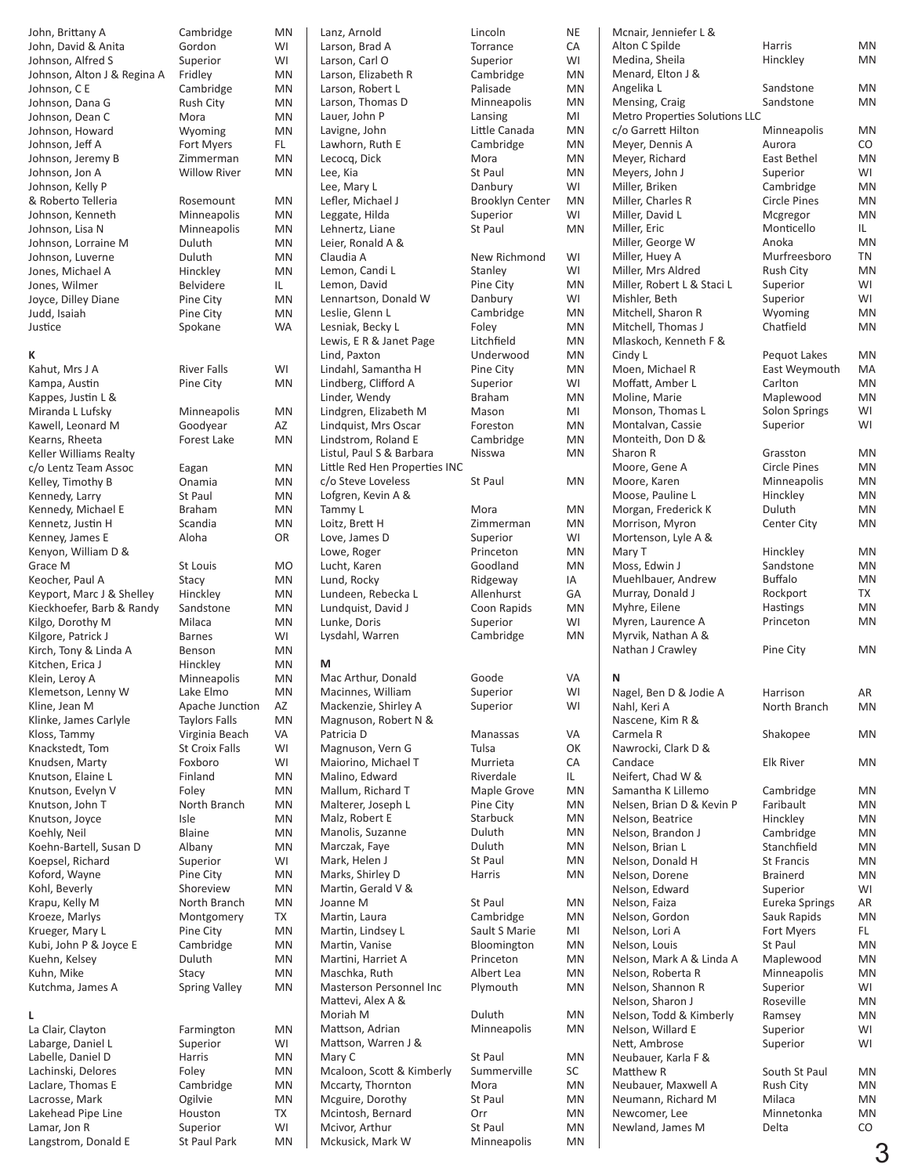| John, Brittany A                    | Cambridge              | ΜN        |
|-------------------------------------|------------------------|-----------|
| John, David & Anita                 | Gordon                 | WI        |
| Johnson, Alfred S                   | Superior               | WI        |
| Johnson, Alton J & Regina A         | Fridley                | MN        |
| Johnson, CE                         | Cambridge              | MN        |
| Johnson, Dana G                     | Rush City              | MN        |
| Johnson, Dean C                     | Mora                   | MN        |
| Johnson, Howard                     | Wyoming                | MN        |
| Johnson, Jeff A                     | Fort Myers             | FL.       |
| Johnson, Jeremy B                   | Zimmerman              | MN        |
| Johnson, Jon A                      | <b>Willow River</b>    | MN        |
| Johnson, Kelly P                    |                        |           |
| & Roberto Telleria                  | Rosemount              | ΜN        |
| Johnson, Kenneth                    | Minneapolis            | MN        |
| Johnson, Lisa N                     | Minneapolis            | MN        |
| Johnson, Lorraine M                 | Duluth                 | MN        |
| Johnson, Luverne                    | Duluth                 | MN        |
| Jones, Michael A                    | Hinckley<br>Belvidere  | MN<br>IL. |
| Jones, Wilmer                       |                        | MN        |
| Joyce, Dilley Diane<br>Judd, Isaiah | Pine City<br>Pine City | MN        |
| Justice                             | Spokane                | WA        |
|                                     |                        |           |
| к                                   |                        |           |
| Kahut, Mrs J A                      | <b>River Falls</b>     | WI        |
| Kampa, Austin                       | Pine City              | MN        |
| Kappes, Justin L &                  |                        |           |
| Miranda L Lufsky                    | Minneapolis            | MN        |
| Kawell, Leonard M                   | Goodyear               | AZ        |
| Kearns, Rheeta                      | Forest Lake            | MN        |
| Keller Williams Realty              |                        |           |
| c/o Lentz Team Assoc                | Eagan                  | MN        |
| Kelley, Timothy B                   | Onamia                 | MN        |
| Kennedy, Larry                      | <b>St Paul</b>         | MN        |
| Kennedy, Michael E                  | <b>Braham</b>          | MN        |
| Kennetz, Justin H                   | Scandia                | MN        |
| Kenney, James E                     | Aloha                  | OR        |
| Kenyon, William D &                 |                        |           |
| Grace M                             | St Louis               | МO        |
| Keocher, Paul A                     | Stacy                  | MN        |
| Keyport, Marc J & Shelley           | Hinckley               | MN        |
| Kieckhoefer, Barb & Randy           | Sandstone              | MN        |
| Kilgo, Dorothy M                    | Milaca                 | MN        |
| Kilgore, Patrick J                  | <b>Barnes</b>          | WI        |
| Kirch, Tony & Linda A               | Benson                 | MN        |
| Kitchen, Erica J                    | Hinckley               | MN        |
| Klein, Leroy A                      | Minneapolis            | MN        |
| Klemetson, Lenny W                  | Lake Elmo              | ΜN        |
| Kline, Jean M                       | Apache Junction        | AZ        |
| Klinke, James Carlyle               | <b>Taylors Falls</b>   | MN        |
| Kloss, Tammy                        | Virginia Beach         | VA        |
| Knackstedt, Tom                     | <b>St Croix Falls</b>  | WI        |
| Knudsen, Marty                      | Foxboro                | WI        |
| Knutson, Elaine L                   | Finland                | MN        |
| Knutson, Evelyn V                   | Foley                  | MN        |
| Knutson, John T                     | North Branch           | MN        |
| Knutson, Joyce                      | Isle                   | ΜN        |
| Koehly, Neil                        | <b>Blaine</b>          | MN        |
| Koehn-Bartell, Susan D              | Albany                 | ΜN        |
| Koepsel, Richard                    | Superior               | WI        |
| Koford, Wayne                       | Pine City              | MN        |
| Kohl, Beverly                       | Shoreview              | ΜN        |
| Krapu, Kelly M                      | North Branch           | ΜN        |
| Kroeze, Marlys                      | Montgomery             | TX        |
| Krueger, Mary L                     | Pine City              | MN        |
| Kubi, John P & Joyce E              | Cambridge              | MN        |
| Kuehn, Kelsey                       | Duluth                 | MN        |
| Kuhn, Mike                          | Stacy                  | ΜN<br>ΜN  |
| Kutchma, James A                    | <b>Spring Valley</b>   |           |
| L                                   |                        |           |
| La Clair, Clayton                   | Farmington             | MN        |
| Labarge, Daniel L                   | Superior               | WI        |
| Labelle, Daniel D                   | Harris                 | MN        |
| Lachinski, Delores                  | Foley                  | ΜN        |
| Laclare, Thomas E                   | Cambridge              | MN        |
| Lacrosse, Mark                      | Ogilvie                | ΜN        |
| Lakehead Pipe Line                  | Houston                | TX        |
| Lamar, Jon R                        | Superior               | WI        |

Langstrom, Donald E St Paul Park MN

Lanz, Arnold Lincoln NE Larson, Brad A Torrance CA Larson, Carl O Superior WI Larson, Elizabeth R Cambridge MN Larson, Robert L Palisade MN Larson, Thomas D Minneapolis MN Lauer, John P Lansing MI Lavigne, John Little Canada MN Lawhorn, Ruth E Cambridge MN Lecocq, Dick Mora Mora MN<br>
Lee, Kia MN St Paul MN Lee, Kia Lee, Mary L<br>
Danbury WI Lefler, Michael J Brooklyn Center MN Leggate, Hilda Superior WI<br>
Lehnertz, Liane St Paul MN Lehnertz, Liane Leier, Ronald A & Claudia A New Richmond WI Lemon, Candi L<br>
Stanley
WI Lemon, David **Pine City** MN Lennartson, Donald W Danbury WI Leslie, Glenn L<br>
Cambridge MN Lesniak, Becky L<br>
Lewis, E R & Janet Page Litchfield MN Lewis, E R & Janet Page Lind, Paxton Underwood MN Lindahl, Samantha H Pine City MN<br>Lindberg, Clifford A Superior WI Lindberg, Clifford A Linder, Wendy Braham MN Lindgren, Elizabeth M Mason MI Lindquist, Mrs Oscar Foreston MN<br>
Lindstrom, Roland E Cambridge MN Lindstrom, Roland E Listul, Paul S & Barbara Misswa MN Little Red Hen Properties INC c/o Steve Loveless St Paul MN Lofgren, Kevin A & Tammy L Mora MOTA Loitz, Brett H Zimmerman MN Love, James D Superior WI<br>
Lowe, Roger Princeton MN Lowe, Roger **Princeton** MN<br>Lucht Karen Goodland MN Lucht, Karen Lund, Rocky Ridgeway IA Lundeen, Rebecka L Allenhurst GA Lundquist, David J Lunke, Doris Superior WI Lysdahl, Warren **M** Mac Arthur, Donald Goode VA Macinnes, William Superior WI Mackenzie, Shirley A Superior WI Magnuson, Robert N & Patricia D Manassas VA Magnuson, Vern G Tulsa OK Maiorino, Michael T Murrieta CA Malino, Edward Mallum, Richard T Maple Grove MN Malterer, Joseph L Pine City MN<br>
Malz, Robert E Starbuck MN Malz, Robert E Manolis, Suzanne Duluth MN Marczak, Faye Mark, Helen J St Paul MN Marks, Shirley D Harris MN Martin, Gerald V & Joanne M St Paul MN Martin, Laura **Cambridge** MN Martin, Lindsey L Sault S Marie MI Martin, Vanise Martini, Harriet A **Princeton** MN Maschka, Ruth **Albert Lea** MN<br>Masterson Personnel Inc Plymouth MN Masterson Personnel Inc Mattevi, Alex A & Moriah M Duluth MN Mattson, Adrian Minneapolis MN Mattson, Warren J & Mary C 5t Paul MN<br>Mealoon Scott & Kimberly Summerville SC Mcaloon, Scott & Kimberly Mccarty, Thornton Mora MN Mcguire, Dorothy St Paul MN<br>Mcintosh, Bernard Orr MN Mcintosh, Bernard Mcivor, Arthur St Paul MN Mckusick, Mark W Minneapolis MN

| Lincoln<br>Torrance<br>Superior<br>Cambridge<br>Palisade<br>Minneapolis<br>Lansing<br>Little Canada<br>Cambridge<br>Mora<br>St Paul<br>Danbury<br><b>Brooklyn Center</b><br>Superior<br>St Paul |
|-------------------------------------------------------------------------------------------------------------------------------------------------------------------------------------------------|
| New Richmond<br>Stanley<br>Pine City<br>Danbury<br>Cambridge<br>Foley<br>Litchfield<br>Underwood<br>Pine City<br>Superior<br><b>Braham</b><br>Mason<br>Foreston<br>Cambridge<br>Nisswa          |
| St Paul<br>Mora<br>Zimmerman<br>Superior<br>Princeton<br>Goodland<br>Ridgeway<br>Allenhurst<br>Coon Rapids<br>Superior<br>Cambridge                                                             |
| Goode<br>Superior<br>Superior<br>Manassas<br>Tulsa<br>Murrieta<br>Riverdale<br><b>Maple Grove</b><br>Pine City<br>Starbuck<br>Duluth<br>Duluth<br>St Paul<br>Harris                             |
| St Paul<br>Cambridge<br>Sault S Marie<br>Bloomington<br>Princeton<br>Albert Lea<br>Plymouth<br>Duluth                                                                                           |
| Minneapolis<br>St Paul<br>Summerville<br>Mora<br>St Paul<br>Orr<br>St Paul<br>Minneapolis                                                                                                       |

| Mcnair, Jenniefer L &                           |                                  |           |
|-------------------------------------------------|----------------------------------|-----------|
| Alton C Spilde                                  | Harris                           | MN        |
| Medina, Sheila<br>Menard, Elton J &             | Hinckley                         | MN        |
| Angelika L                                      | Sandstone                        | MN        |
| Mensing, Craig                                  | Sandstone                        | MN        |
| <b>Metro Properties Solutions LLC</b>           |                                  |           |
| c/o Garrett Hilton                              | Minneapolis                      | MN        |
| Meyer, Dennis A                                 | Aurora                           | CO        |
| Meyer, Richard                                  | East Bethel                      | MN        |
| Meyers, John J                                  | Superior                         | WI        |
| Miller, Briken<br>Miller, Charles R             | Cambridge<br><b>Circle Pines</b> | MN<br>MN  |
| Miller, David L                                 | Mcgregor                         | MN        |
| Miller, Eric                                    | Monticello                       | IL.       |
| Miller, George W                                | Anoka                            | MN        |
| Miller, Huey A                                  | Murfreesboro                     | TN        |
| Miller, Mrs Aldred                              | <b>Rush City</b>                 | MN        |
| Miller, Robert L & Staci L                      | Superior                         | WI        |
| Mishler, Beth                                   | Superior                         | WI        |
| Mitchell, Sharon R<br>Mitchell, Thomas J        | Wyoming<br>Chatfield             | MN<br>MN  |
| Mlaskoch, Kenneth F &                           |                                  |           |
| Cindy L                                         | Pequot Lakes                     | MN        |
| Moen, Michael R                                 | East Weymouth                    | МA        |
| Moffatt, Amber L                                | Carlton                          | MN        |
| Moline, Marie                                   | Maplewood                        | MN        |
| Monson, Thomas L                                | Solon Springs                    | WI        |
| Montalvan, Cassie                               | Superior                         | WI        |
| Monteith, Don D &<br>Sharon R                   | Grasston                         | MN        |
| Moore, Gene A                                   | <b>Circle Pines</b>              | MN        |
| Moore, Karen                                    | Minneapolis                      | MN        |
| Moose, Pauline L                                | Hinckley                         | MN        |
| Morgan, Frederick K                             | Duluth                           | MN        |
| Morrison, Myron                                 | <b>Center City</b>               | MN        |
| Mortenson, Lyle A &                             |                                  |           |
| Mary T                                          | Hinckley                         | MN        |
| Moss, Edwin J<br>Muehlbauer, Andrew             | Sandstone<br><b>Buffalo</b>      | MN<br>MN  |
| Murray, Donald J                                | Rockport                         | <b>TX</b> |
| Myhre, Eilene                                   | Hastings                         | MN        |
| Myren, Laurence A                               | Princeton                        | MN        |
| Myrvik, Nathan A &                              |                                  |           |
| Nathan J Crawley                                | Pine City                        | MN        |
| Ν                                               |                                  |           |
| Nagel, Ben D & Jodie A                          | Harrison                         | AR        |
| Nahl, Keri A                                    | North Branch                     | MN        |
| Nascene, Kim R &                                |                                  |           |
| Carmela R                                       | Shakopee                         | MN        |
| Nawrocki, Clark D &                             |                                  |           |
| Candace                                         | <b>Elk River</b>                 | MN        |
| Neifert, Chad W &                               |                                  |           |
| Samantha K Lillemo<br>Nelsen, Brian D & Kevin P | Cambridge<br>Faribault           | ΜN<br>MN  |
| Nelson, Beatrice                                | Hinckley                         | MN        |
| Nelson, Brandon J                               | Cambridge                        | MN        |
| Nelson, Brian L                                 | Stanchfield                      | MN        |
| Nelson, Donald H                                | <b>St Francis</b>                | MN        |
| Nelson, Dorene                                  | <b>Brainerd</b>                  | MN        |
| Nelson, Edward                                  | Superior                         | WI        |
| Nelson, Faiza                                   | Eureka Springs                   | AR        |
| Nelson, Gordon<br>Nelson, Lori A                | Sauk Rapids<br>Fort Myers        | MN<br>FL. |
| Nelson, Louis                                   | St Paul                          | MN        |
| Nelson, Mark A & Linda A                        | Maplewood                        | MN        |
| Nelson, Roberta R                               | Minneapolis                      | MN        |
| Nelson, Shannon R                               | Superior                         | WI        |
| Nelson, Sharon J                                | Roseville                        | MN        |
| Nelson, Todd & Kimberly                         | Ramsey                           | MN        |
| Nelson, Willard E                               | Superior                         | WI        |
| Nett, Ambrose<br>Neubauer, Karla F &            | Superior                         | WI        |
| Matthew R                                       | South St Paul                    | MN        |
| Neubauer, Maxwell A                             | <b>Rush City</b>                 | MN        |
| Neumann, Richard M                              | Milaca                           | MN        |
| Newcomer, Lee                                   | Minnetonka                       | MN        |
| Newland, James M                                | Delta                            | CO        |
|                                                 |                                  |           |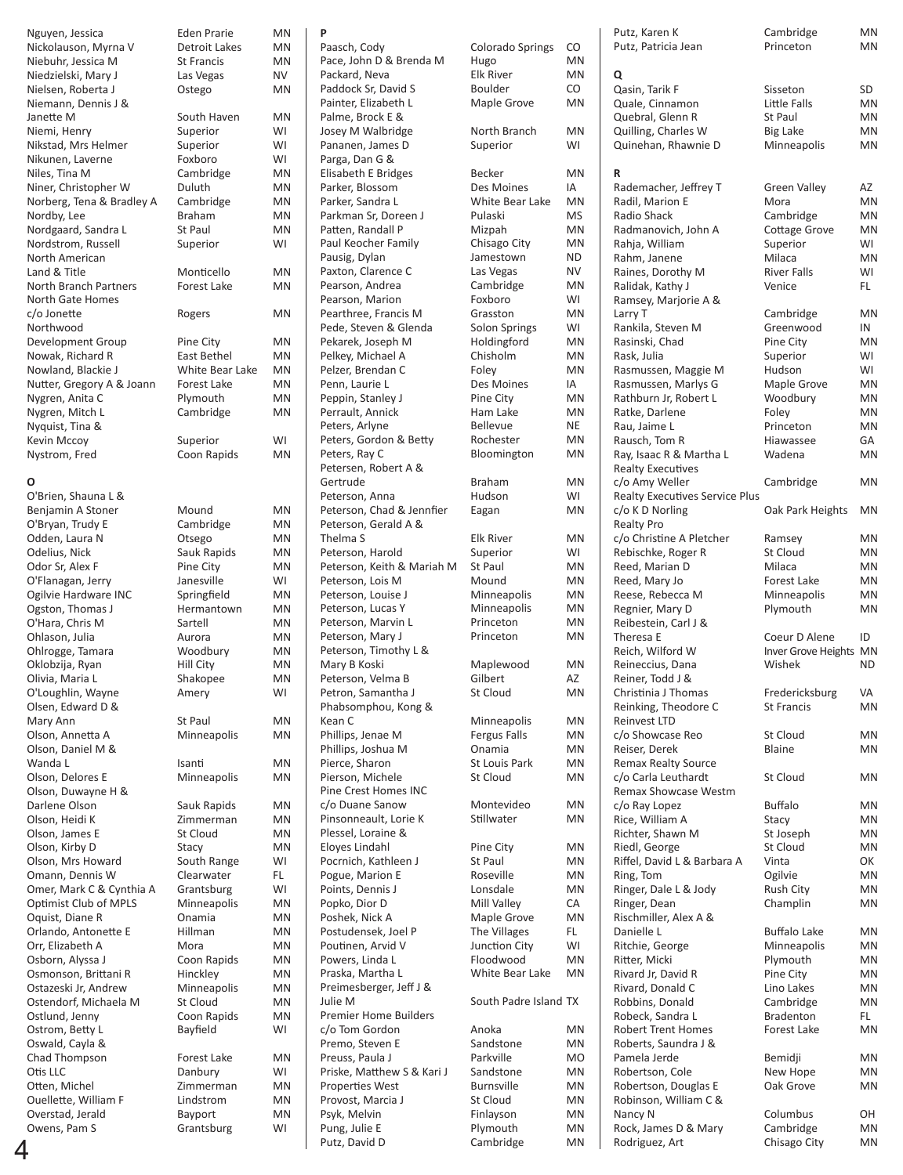| Nguyen, Jessica           | <b>Eden Prarie</b>     | MN  |
|---------------------------|------------------------|-----|
| Nickolauson, Myrna V      | Detroit Lakes          | MN  |
| Niebuhr, Jessica M        | <b>St Francis</b>      | MN  |
| Niedzielski, Mary J       | Las Vegas              | NV  |
|                           |                        | MN  |
| Nielsen, Roberta J        | Ostego                 |     |
| Niemann, Dennis J &       |                        |     |
| Janette M                 | South Haven            | MN  |
| Niemi, Henry              | Superior               | WI  |
| Nikstad, Mrs Helmer       | Superior               | WI  |
| Nikunen, Laverne          | Foxboro                | WI  |
| Niles, Tina M             | Cambridge              | MN  |
| Niner, Christopher W      | Duluth                 | MN  |
| Norberg, Tena & Bradley A | Cambridge              | MN  |
| Nordby, Lee               | <b>Braham</b>          | MN  |
| Nordgaard, Sandra L       | St Paul                | MN  |
| Nordstrom, Russell        | Superior               | WI  |
|                           |                        |     |
| North American            |                        |     |
| Land & Title              | Monticello             | MN  |
| North Branch Partners     | Forest Lake            | MN  |
| <b>North Gate Homes</b>   |                        |     |
| c/o Jonette               | Rogers                 | MN  |
| Northwood                 |                        |     |
| Development Group         | Pine City              | MN  |
| Nowak, Richard R          | East Bethel            | MN  |
| Nowland, Blackie J        | <b>White Bear Lake</b> | MN  |
| Nutter, Gregory A & Joann | <b>Forest Lake</b>     | MN  |
| Nygren, Anita C           | Plymouth               | MN  |
| Nygren, Mitch L           | Cambridge              | MN  |
|                           |                        |     |
| Nyquist, Tina &           |                        |     |
| Kevin Mccoy               | Superior               | WI  |
| Nystrom, Fred             | Coon Rapids            | MN  |
|                           |                        |     |
| О                         |                        |     |
| O'Brien, Shauna L &       |                        |     |
| Benjamin A Stoner         | Mound                  | MN  |
| O'Bryan, Trudy E          | Cambridge              | MN  |
| Odden, Laura N            | Otsego                 | MN  |
| Odelius, Nick             | Sauk Rapids            | MN  |
| Odor Sr, Alex F           | Pine City              | MN  |
| O'Flanagan, Jerry         | Janesville             | WI  |
| Ogilvie Hardware INC      |                        | MN  |
|                           | Springfield            |     |
| Ogston, Thomas J          | Hermantown             | MN  |
| O'Hara, Chris M           | Sartell                | MN  |
| Ohlason, Julia            | Aurora                 | MN  |
| Ohlrogge, Tamara          | Woodbury               | MN  |
| Oklobzija, Ryan           | <b>Hill City</b>       | MN  |
| Olivia, Maria L           | Shakopee               | MN  |
| O'Loughlin, Wayne         | Amery                  | WI  |
| Olsen, Edward D &         |                        |     |
| Mary Ann                  | St Paul                | ΜN  |
| Olson, Annetta A          | Minneapolis            | MN  |
| Olson, Daniel M &         |                        |     |
| Wanda L                   | Isanti                 | ΜN  |
| Olson, Delores E          | Minneapolis            | MN  |
| Olson, Duwayne H &        |                        |     |
|                           |                        |     |
| Darlene Olson             | Sauk Rapids            | MN  |
| Olson, Heidi K            | Zimmerman              | MN  |
| Olson, James E            | St Cloud               | MN  |
| Olson, Kirby D            | Stacy                  | MN  |
| Olson, Mrs Howard         | South Range            | WI  |
| Omann, Dennis W           | Clearwater             | FL. |
| Omer, Mark C & Cynthia A  | Grantsburg             | WI  |
| Optimist Club of MPLS     | Minneapolis            | MN  |
| Oquist, Diane R           | Onamia                 | MN  |
| Orlando, Antonette E      | Hillman                | MN  |
| Orr, Elizabeth A          | Mora                   | MN  |
| Osborn, Alyssa J          |                        | MN  |
|                           | Coon Rapids            |     |
| Osmonson, Brittani R      | Hinckley               | MN  |
| Ostazeski Jr, Andrew      | Minneapolis            | MN  |
| Ostendorf, Michaela M     | St Cloud               | MN  |
| Ostlund, Jenny            | Coon Rapids            | MN  |
| Ostrom, Betty L           | Bayfield               | WI  |
| Oswald, Cayla &           |                        |     |
| Chad Thompson             | Forest Lake            | MN  |
| Otis LLC                  | Danbury                | WI  |
| Otten, Michel             | Zimmerman              | MN  |
| Ouellette, William F      | Lindstrom              | MN  |
| Overstad, Jerald          | <b>Bayport</b>         | MN  |
| Owens, Pam S              | Grantsburg             | WI  |
|                           |                        |     |

| en Prarie      | MN |
|----------------|----|
| troit Lakes    | MN |
| Francis        | MN |
| S Vegas        | NV |
| tego           | MN |
| uth Haven      | MN |
| perior         | WI |
| perior         | WI |
| xboro          | WI |
| mbridge        | MN |
| luth           | MN |
| mbridge        | MN |
| aham           | MN |
| Paul           | MN |
| perior         | WI |
| onticello      | MN |
| rest Lake      | MN |
| gers           | MN |
| e City         | ΜN |
| st Bethel      | MN |
| nite Bear Lake | MN |
| rest Lake      | MN |
| mouth          | ΜN |
| mbridge        | ΜN |
| perior         | WI |
| on Rapids      | MN |
| bund           | ΜN |
| mbridge        | ΜN |
| sego           | MN |
| uk Rapids      | MN |
| e City         | MN |
| าesville       | WI |
| ringfield      | MN |
| rmantown       | MN |
| rtell          | MN |
| rora           | MN |
| podbury        | ΜN |
| I City         | MN |
| akopee         | MN |
| ery            | WI |
| Paul           | ΜN |
| nneapolis      | MN |
| nti            | MN |
| nneapolis      | MN |
| uk Rapids      | MN |
| nmerman        | MN |
| Cloud          | MN |
| iCV            | MN |
| uth Range      | WI |
| arwater        | FL |
| antsburg       | WI |
| nneapolis      | MN |
| amia           | MN |
| lman           | MN |
| pra            | ΜN |
| on Rapids      | MN |
| <b>nckley</b>  | MN |
| nneapolis      | MN |
| Cloud          | MN |
| on Rapids      | MN |
| yfield         | WI |
| rest Lake      | MN |
| nbury          | WI |
| nmerman        | MN |
| dstrom         | MN |
| yport          | MN |
| antsburg       | WI |

## **P** Paasch, Cody Colorado Springs CO Pace, John D & Brenda M Hugo MN MN<br>Packard, Neva Bik River MN Packard, Neva Paddock Sr, David S<br>
Painter. Elizabeth L Maple Grove MN Painter, Elizabeth L Palme, Brock E & Josey M Walbridge **North Branch** MN<br>Pananen, James D Superior WI Pananen, James D Parga, Dan G & Elisabeth E Bridges Becker MN Parker, Blossom Des Moines IA<br>Parker, Sandra L White Bear Lake MN Parker, Sandra L Parkman Sr, Doreen J<br>Patten, Randall P Miznah MN Patten, Randall P **Mizpah** MN<br>Paul Keocher Family **Chisago City** MN Paul Keocher Family Pausig, Dylan **Jamestown** ND<br>Paxton, Clarence C Las Vegas NV Paxton, Clarence C Las Vegas NV<br>Pearson, Andrea Cambridge MN Pearson, Andrea Pearson, Marion Foxboro WI<br>Pearthree, Francis M Grasston MN Pearthree, Francis M Pede, Steven & Glenda Solon Springs WI<br>Pekarek, Joseph M Holdingford MN Pekarek, Joseph M Holdingford MN<br>Pelkey, Michael A Chisholm MN Pelkey, Michael A Chisholm MN<br>Pelzer. Brendan C Folev MN Pelzer, Brendan C Penn, Laurie L<br>
Des Moines
IA Peppin, Stanley J<br>
Pine City MN<br>
Perrault, Annick Ham Lake MN Perrault, Annick Peters, Arlyne Bellevue NE<br>Peters. Gordon & Betty Rochester MN Peters, Gordon & Betty Rochester MN<br>Peters, Ray C Bloomington MN Peters, Ray C Petersen, Robert A & Gertrude Braham MN Peterson, Anna Budson WI<br>Peterson, Chad & Jennfier Eagan MN Peterson, Chad & Jennfier Peterson, Gerald A & Thelma S Elk River MN Peterson, Harold Superior WI Peterson, Keith & Mariah M St Paul MN<br>Peterson, Lois M Mound MN Peterson, Lois M Peterson, Louise J<br>
Peterson, Lucas Y Minneapolis MN Peterson, Lucas Y **Minneapolis** MN<br>Peterson, Marvin L Princeton MN Peterson, Marvin L Peterson, Mary J Princeton MN Peterson, Timothy L & Mary B Koski Maplewood MN Peterson, Velma B Gilbert AZ<br>
Petron, Samantha J St Cloud MN Petron, Samantha J Phabsomphou, Kong & Kean C **Minneapolis** MN Phillips, Jenae M Fergus Falls MN<br>
Phillips, Joshua M Dnamia MN Phillips, Joshua M Pierce, Sharon St Louis Park MN<br>Pierson, Michele St Cloud MN Pierson, Michele Pine Crest Homes INC c/o Duane Sanow Montevideo MN<br>Pinsonneault, Lorie K Stillwater MN Pinsonneault, Lorie K Plessel, Loraine & Eloyes Lindahl **Pine City** MN<br>Pocrnich, Kathleen J St Paul MN Pocrnich, Kathleen J<br>
Pogue Marion F Spread Boseville MN Pogue, Marion E Points, Dennis J Lonsdale MN Popko, Dior D<br>Poshek, Nick A Maple Grove MN Poshek, Nick A Postudensek, Joel P The Villages FL<br>Poutinen, Arvid V Poutinen City WI Poutinen, Arvid V Junction City WI Powers, Linda L Praska, Martha L White Bear Lake MN Preimesberger, Jeff J & Julie M South Padre Island TX Premier Home Builders c/o Tom Gordon Anoka MN<br>Premo Steven F Sandstone MN Premo, Steven E Sandstone MN<br>Preuss, Paula J Parkville MO Preuss, Paula J Priske, Matthew S & Kari J Sandstone MN<br>Properties West Burnsville MN Properties West Provost, Marcia J St Cloud MN Psyk, Melvin Finlayson MN<br>Pung, Julie E Plymouth MN Pung, Julie E Putz, David D Cambridge MN

| Colorado Springs     | C  |
|----------------------|----|
| Hugo                 | N  |
| Elk River            | N  |
| Boulder              | C  |
| Maple Grove          | N  |
| North Branch         | N  |
| Superior             | N  |
| Becker               | N  |
| Des Moines           | ١/ |
| White Bear Lake      | N  |
| Pulaski              | N  |
| Mizpah               | N  |
| Chisago City         | N  |
| lamestown            | Ν  |
| Las Vegas            | Ν  |
| Cambridge            | N  |
| Foxboro              | N  |
| Grasston             | N  |
| Solon Springs        | N  |
| Holdingford          | N  |
| Chisholm             | N  |
| Foley                | N  |
| Des Moines           | ١/ |
| Pine City            | N  |
| Ham Lake             | N  |
| Bellevue             | N  |
| Rochester            | N  |
| Bloomington          | N  |
| Braham               | N  |
| Hudson               | N  |
| Eagan                | N  |
| Elk River            | N  |
| Superior             | N  |
| St Paul              | N  |
| Mound                | N  |
| Minneapolis          | N  |
| Minneapolis          | N  |
| Princeton            | N  |
| Princeton            | N  |
| Maplewood            | N  |
| Gilbert              | Α  |
| St Cloud             | N  |
| Minneapolis          | N  |
| Fergus Falls         | N  |
| <b>Onamia</b>        | N  |
| St Louis Park        | N  |
| St Cloud             | N  |
| Montevideo           | N  |
| Stillwater           | N  |
| Pine City            | N  |
| St Paul              | N  |
| Roseville            | N  |
| Lonsdale             | N  |
| Mill Valley          | C  |
| Maple Grove          | N  |
| The Villages         | F  |
| <b>Junction City</b> | V  |
| Floodwood            | N  |
| White Bear Lake      | N  |
| South Padre Island   | T. |
| Anoka                | N  |
| Sandstone            | N  |
| Parkville            | N  |
| Sandstone            | N  |
| Burnsville           | N  |
| St Cloud             | N  |
| Finlayson            | N  |
| Plymouth             | N  |
| Camhridge            | N  |

|   | Nguyen, Jessica                        | <b>Eden Prarie</b>   | <b>MN</b>       | P                                         |                       |           | Putz, Karen K                               | Cambridge              | MN        |
|---|----------------------------------------|----------------------|-----------------|-------------------------------------------|-----------------------|-----------|---------------------------------------------|------------------------|-----------|
|   | Nickolauson, Myrna V                   | <b>Detroit Lakes</b> | <b>MN</b>       | Paasch, Cody                              | Colorado Springs      | CO        | Putz, Patricia Jean                         | Princeton              | MN        |
|   | Niebuhr, Jessica M                     | <b>St Francis</b>    | <b>MN</b>       | Pace, John D & Brenda M                   | Hugo                  | MN        |                                             |                        |           |
|   | Niedzielski, Mary J                    | Las Vegas            | NV              | Packard, Neva                             | <b>Elk River</b>      | MN        | Q                                           |                        |           |
|   | Nielsen, Roberta J                     | Ostego               | <b>MN</b>       | Paddock Sr, David S                       | <b>Boulder</b>        | CO        | Qasin, Tarik F                              | Sisseton               | SD        |
|   | Niemann, Dennis J &                    |                      |                 | Painter, Elizabeth L                      | Maple Grove           | MN        | Quale, Cinnamon                             | Little Falls           | MN        |
|   | Janette M                              | South Haven          | <b>MN</b>       | Palme, Brock E &                          |                       |           | Quebral, Glenn R                            | St Paul                | MN        |
|   | Niemi, Henry                           | Superior             | WI              | Josey M Walbridge                         | North Branch          | MN        | Quilling, Charles W                         | Big Lake               | MN        |
|   | Nikstad, Mrs Helmer                    | Superior             | WI              | Pananen, James D                          | Superior              | WI        | Quinehan, Rhawnie D                         | Minneapolis            | MN        |
|   | Nikunen, Laverne                       | Foxboro<br>Cambridge | WI<br><b>MN</b> | Parga, Dan G &<br>Elisabeth E Bridges     | Becker                | MN        |                                             |                        |           |
|   | Niles, Tina M<br>Niner, Christopher W  | Duluth               | <b>MN</b>       | Parker, Blossom                           | Des Moines            | IA        | R<br>Rademacher, Jeffrey T                  | <b>Green Valley</b>    | AZ        |
|   | Norberg, Tena & Bradley A              | Cambridge            | <b>MN</b>       | Parker, Sandra L                          | White Bear Lake       | <b>MN</b> | Radil, Marion E                             | Mora                   | MN        |
|   | Nordby, Lee                            | <b>Braham</b>        | <b>MN</b>       | Parkman Sr, Doreen J                      | Pulaski               | <b>MS</b> | Radio Shack                                 | Cambridge              | MN        |
|   | Nordgaard, Sandra L                    | St Paul              | <b>MN</b>       | Patten, Randall P                         | Mizpah                | MN        | Radmanovich, John A                         | <b>Cottage Grove</b>   | MN        |
|   | Nordstrom, Russell                     | Superior             | WI              | Paul Keocher Family                       | Chisago City          | MN        | Rahja, William                              | Superior               | WI        |
|   | North American                         |                      |                 | Pausig, Dylan                             | Jamestown             | ND        | Rahm, Janene                                | Milaca                 | MN        |
|   | Land & Title                           | Monticello           | <b>MN</b>       | Paxton, Clarence C                        | Las Vegas             | <b>NV</b> | Raines, Dorothy M                           | <b>River Falls</b>     | WI        |
|   | North Branch Partners                  | Forest Lake          | <b>MN</b>       | Pearson, Andrea                           | Cambridge             | MN        | Ralidak, Kathy J                            | Venice                 | FL.       |
|   | North Gate Homes                       |                      |                 | Pearson, Marion                           | Foxboro               | WI        | Ramsey, Marjorie A &                        |                        |           |
|   | c/o Jonette                            | Rogers               | <b>MN</b>       | Pearthree, Francis M                      | Grasston              | MN        | Larry T                                     | Cambridge              | MN        |
|   | Northwood                              |                      |                 | Pede, Steven & Glenda                     | Solon Springs         | WI        | Rankila, Steven M                           | Greenwood              | IN        |
|   | Development Group                      | Pine City            | <b>MN</b>       | Pekarek, Joseph M                         | Holdingford           | MN        | Rasinski, Chad                              | Pine City              | MN        |
|   | Nowak, Richard R                       | East Bethel          | <b>MN</b>       | Pelkey, Michael A                         | Chisholm              | MN        | Rask, Julia                                 | Superior               | WI        |
|   | Nowland, Blackie J                     | White Bear Lake      | MN              | Pelzer, Brendan C                         | Foley                 | MN        | Rasmussen, Maggie M                         | Hudson                 | WI        |
|   | Nutter, Gregory A & Joann              | Forest Lake          | <b>MN</b>       | Penn, Laurie L                            | Des Moines            | IA        | Rasmussen, Marlys G                         | Maple Grove            | MN        |
|   | Nygren, Anita C                        | Plymouth             | MN              | Peppin, Stanley J                         | Pine City             | MN        | Rathburn Jr, Robert L                       | Woodbury               | MN        |
|   | Nygren, Mitch L                        | Cambridge            | <b>MN</b>       | Perrault, Annick                          | Ham Lake              | MN        | Ratke, Darlene                              | Foley                  | MN        |
|   | Nyquist, Tina &                        |                      |                 | Peters, Arlyne                            | <b>Bellevue</b>       | NE.       | Rau, Jaime L                                | Princeton              | MN        |
|   | Kevin Mccoy                            | Superior             | WI              | Peters, Gordon & Betty                    | Rochester             | MN        | Rausch, Tom R                               | Hiawassee              | GА        |
|   | Nystrom, Fred                          | Coon Rapids          | <b>MN</b>       | Peters, Ray C                             | Bloomington           | MN        | Ray, Isaac R & Martha L                     | Wadena                 | MN        |
|   |                                        |                      |                 | Petersen, Robert A &                      |                       |           | <b>Realty Executives</b>                    |                        |           |
|   | О                                      |                      |                 | Gertrude                                  | <b>Braham</b>         | MN        | c/o Amy Weller                              | Cambridge              | MN        |
|   | O'Brien, Shauna L &                    |                      |                 | Peterson, Anna                            | Hudson                | WI        | <b>Realty Executives Service Plus</b>       |                        |           |
|   | Benjamin A Stoner                      | Mound                | <b>MN</b>       | Peterson, Chad & Jennfier                 | Eagan                 | MN        | c/o K D Norling                             | Oak Park Heights       | MN        |
|   | O'Bryan, Trudy E                       | Cambridge            | <b>MN</b>       | Peterson, Gerald A &                      |                       |           | <b>Realty Pro</b>                           |                        |           |
|   | Odden, Laura N                         | Otsego               | <b>MN</b>       | Thelma S                                  | <b>Elk River</b>      | MN        | c/o Christine A Pletcher                    | Ramsey                 | MN        |
|   | Odelius, Nick                          | Sauk Rapids          | <b>MN</b>       | Peterson, Harold                          | Superior              | WI        | Rebischke, Roger R                          | St Cloud               | MN        |
|   | Odor Sr, Alex F                        | Pine City            | <b>MN</b>       | Peterson, Keith & Mariah M                | St Paul               | MN        | Reed, Marian D                              | Milaca                 | MN        |
|   | O'Flanagan, Jerry                      | Janesville           | WI              | Peterson, Lois M                          | Mound                 | MN        | Reed, Mary Jo                               | Forest Lake            | MN        |
|   | Ogilvie Hardware INC                   | Springfield          | <b>MN</b>       | Peterson, Louise J                        | Minneapolis           | MN        | Reese, Rebecca M                            | Minneapolis            | MN        |
|   | Ogston, Thomas J                       | Hermantown           | <b>MN</b>       | Peterson, Lucas Y                         | Minneapolis           | MN        | Regnier, Mary D                             | Plymouth               | MN        |
|   | O'Hara, Chris M                        | Sartell              | <b>MN</b>       | Peterson, Marvin L                        | Princeton             | MN        | Reibestein, Carl J &                        |                        |           |
|   | Ohlason, Julia                         | Aurora               | MN              | Peterson, Mary J                          | Princeton             | MN        | Theresa E                                   | Coeur D Alene          | ID        |
|   | Ohlrogge, Tamara                       | Woodbury             | MN              | Peterson, Timothy L &                     |                       |           | Reich, Wilford W                            | Inver Grove Heights MN |           |
|   | Oklobzija, Ryan                        | Hill City            | <b>MN</b>       | Mary B Koski                              | Maplewood             | MN        | Reineccius, Dana                            | Wishek                 | <b>ND</b> |
|   | Olivia, Maria L                        | Shakopee             | <b>MN</b>       | Peterson, Velma B                         | Gilbert<br>St Cloud   | AZ        | Reiner, Todd J &<br>Christinia J Thomas     | Fredericksburg         | VA        |
|   | O'Loughlin, Wayne<br>Olsen, Edward D & | Amery                | WI              | Petron, Samantha J<br>Phabsomphou, Kong & |                       | MN        |                                             | St Francis             |           |
|   | Mary Ann                               | St Paul              | <b>MN</b>       | Kean C                                    | Minneapolis           | MN        | Reinking, Theodore C<br><b>Reinvest LTD</b> |                        | MN        |
|   | Olson, Annetta A                       | Minneapolis          | MN              | Phillips, Jenae M                         | Fergus Falls          | ΜN        | c/o Showcase Reo                            | St Cloud               | MN        |
|   | Olson, Daniel M &                      |                      |                 | Phillips, Joshua M                        | Onamia                | ΜN        | Reiser, Derek                               | Blaine                 | ΜN        |
|   | Wanda L                                | Isanti               | MN              | Pierce, Sharon                            | St Louis Park         | ΜN        | <b>Remax Realty Source</b>                  |                        |           |
|   | Olson, Delores E                       | Minneapolis          | MN              | Pierson, Michele                          | St Cloud              | MN        | c/o Carla Leuthardt                         | St Cloud               | ΜN        |
|   | Olson, Duwayne H &                     |                      |                 | Pine Crest Homes INC                      |                       |           | Remax Showcase Westm                        |                        |           |
|   | Darlene Olson                          | Sauk Rapids          | MN              | c/o Duane Sanow                           | Montevideo            | MN        | c/o Ray Lopez                               | <b>Buffalo</b>         | MN        |
|   | Olson, Heidi K                         | Zimmerman            | MN              | Pinsonneault, Lorie K                     | Stillwater            | MN        | Rice, William A                             | Stacy                  | MN        |
|   | Olson, James E                         | St Cloud             | MN              | Plessel, Loraine &                        |                       |           | Richter, Shawn M                            | St Joseph              | MN        |
|   | Olson, Kirby D                         | Stacy                | <b>MN</b>       | Eloyes Lindahl                            | Pine City             | ΜN        | Riedl, George                               | St Cloud               | MN        |
|   | Olson, Mrs Howard                      | South Range          | WI              | Pocrnich, Kathleen J                      | St Paul               | ΜN        | Riffel, David L & Barbara A                 | Vinta                  | ОК        |
|   | Omann, Dennis W                        | Clearwater           | FL.             | Pogue, Marion E                           | Roseville             | ΜN        | Ring, Tom                                   | Ogilvie                | MN        |
|   | Omer, Mark C & Cynthia A               | Grantsburg           | WI              | Points, Dennis J                          | Lonsdale              | MN        | Ringer, Dale L & Jody                       | <b>Rush City</b>       | MN        |
|   | Optimist Club of MPLS                  | Minneapolis          | MN              | Popko, Dior D                             | Mill Valley           | CA        | Ringer, Dean                                | Champlin               | ΜN        |
|   | Oquist, Diane R                        | Onamia               | MN              | Poshek, Nick A                            | Maple Grove           | MN        | Rischmiller, Alex A &                       |                        |           |
|   | Orlando, Antonette E                   | Hillman              | MN              | Postudensek, Joel P                       | The Villages          | FL.       | Danielle L                                  | <b>Buffalo Lake</b>    | MN        |
|   | Orr, Elizabeth A                       | Mora                 | MN              | Poutinen, Arvid V                         | Junction City         | WI        | Ritchie, George                             | Minneapolis            | ΜN        |
|   | Osborn, Alyssa J                       | Coon Rapids          | MN              | Powers, Linda L                           | Floodwood             | MN        | Ritter, Micki                               | Plymouth               | MN        |
|   | Osmonson, Brittani R                   | Hinckley             | MN              | Praska, Martha L                          | White Bear Lake       | MN        | Rivard Jr, David R                          | Pine City              | MN        |
|   | Ostazeski Jr, Andrew                   | Minneapolis          | MN              | Preimesberger, Jeff J &                   |                       |           | Rivard, Donald C                            | Lino Lakes             | MN        |
|   | Ostendorf, Michaela M                  | St Cloud             | MN              | Julie M                                   | South Padre Island TX |           | Robbins, Donald                             | Cambridge              | MN        |
|   | Ostlund, Jenny                         | Coon Rapids          | MN              | <b>Premier Home Builders</b>              |                       |           | Robeck, Sandra L                            | <b>Bradenton</b>       | FL.       |
|   | Ostrom, Betty L                        | Bayfield             | WI              | c/o Tom Gordon                            | Anoka                 | ΜN        | Robert Trent Homes                          | Forest Lake            | MN        |
|   | Oswald, Cayla &                        |                      |                 | Premo, Steven E                           | Sandstone             | ΜN        | Roberts, Saundra J &                        |                        |           |
|   | Chad Thompson                          | Forest Lake          | MN              | Preuss, Paula J                           | Parkville             | MO        | Pamela Jerde                                | Bemidji                | MN        |
|   | Otis LLC                               | Danbury              | WI              | Priske, Matthew S & Kari J                | Sandstone             | ΜN        | Robertson, Cole                             | New Hope               | MN        |
|   | Otten, Michel                          | Zimmerman            | MN              | Properties West                           | <b>Burnsville</b>     | MN        | Robertson, Douglas E                        | Oak Grove              | ΜN        |
|   | Ouellette, William F                   | Lindstrom            | MN              | Provost, Marcia J                         | St Cloud              | ΜN        | Robinson, William C &                       |                        |           |
|   | Overstad, Jerald                       | Bayport              | MN              | Psyk, Melvin                              | Finlayson             | ΜN        | Nancy N                                     | Columbus               | OH        |
|   | Owens, Pam S                           | Grantsburg           | WI              | Pung, Julie E<br>Putz, David D            | Plymouth<br>Cambridge | ΜN<br>MN  | Rock, James D & Mary                        | Cambridge              | MN        |
| 4 |                                        |                      |                 |                                           |                       |           | Rodriguez, Art                              | Chisago City           | MN        |
|   |                                        |                      |                 |                                           |                       |           |                                             |                        |           |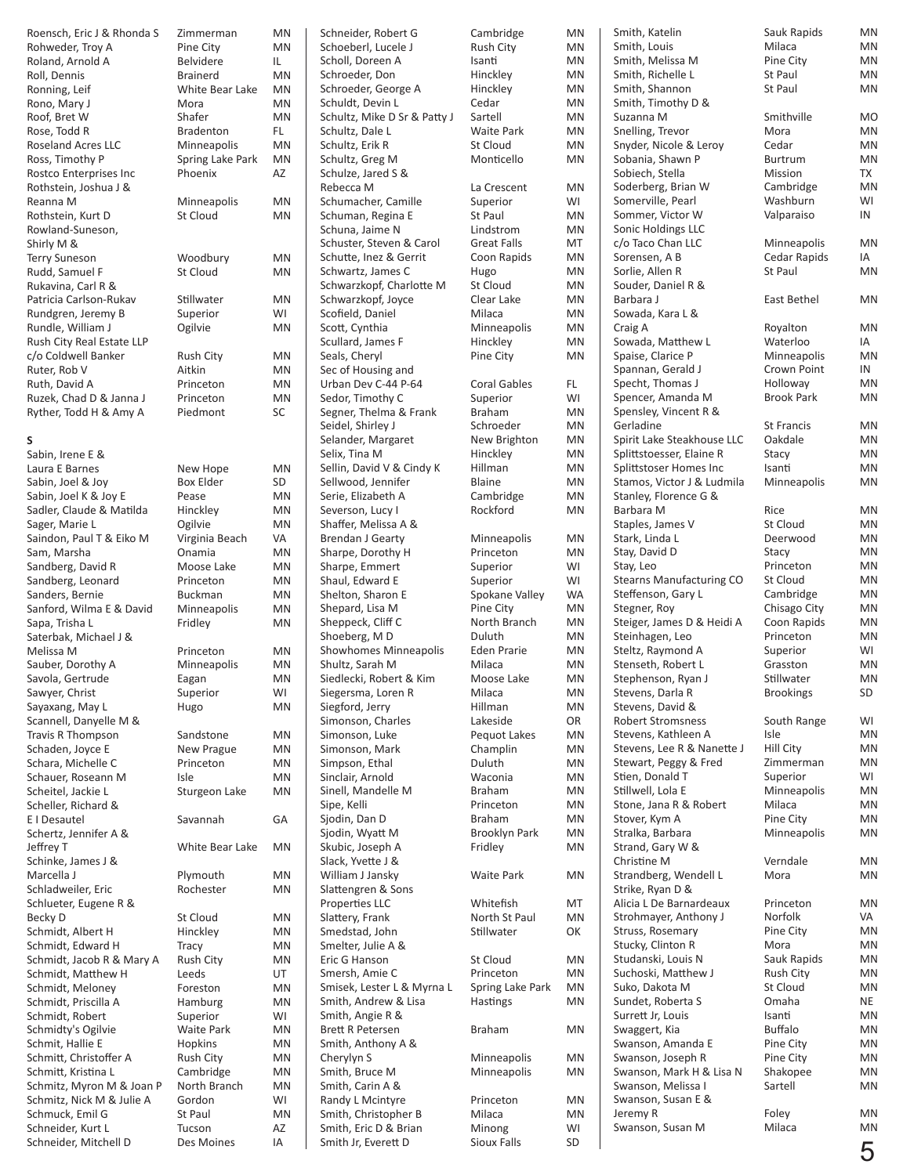| Roensch, Eric J & Rhonda S | Zimmerman         | <b>MN</b> | Schneider, Robert G          | Cambridge           | MN        | Smith, Katelin                  | Sauk Rapids       | <b>MN</b> |
|----------------------------|-------------------|-----------|------------------------------|---------------------|-----------|---------------------------------|-------------------|-----------|
| Rohweder, Troy A           | Pine City         | <b>MN</b> | Schoeberl, Lucele J          | Rush City           | MN        | Smith, Louis                    | Milaca            | MN        |
| Roland, Arnold A           | Belvidere         | IL        | Scholl, Doreen A             | Isanti              | MN        | Smith, Melissa M                | Pine City         | <b>MN</b> |
| Roll, Dennis               | <b>Brainerd</b>   | <b>MN</b> | Schroeder, Don               | Hinckley            | MN        | Smith, Richelle L               | St Paul           | <b>MN</b> |
| Ronning, Leif              | White Bear Lake   | <b>MN</b> | Schroeder, George A          | Hinckley            | MN        | Smith, Shannon                  | St Paul           | <b>MN</b> |
|                            |                   |           |                              |                     | MN        |                                 |                   |           |
| Rono, Mary J               | Mora              | <b>MN</b> | Schuldt, Devin L             | Cedar               |           | Smith, Timothy D &              |                   |           |
| Roof, Bret W               | Shafer            | <b>MN</b> | Schultz, Mike D Sr & Patty J | Sartell             | MN        | Suzanna M                       | Smithville        | <b>MO</b> |
| Rose, Todd R               | <b>Bradenton</b>  | FL.       | Schultz, Dale L              | <b>Waite Park</b>   | ΜN        | Snelling, Trevor                | Mora              | <b>MN</b> |
| Roseland Acres LLC         | Minneapolis       | <b>MN</b> | Schultz, Erik R              | St Cloud            | MN        | Snyder, Nicole & Leroy          | Cedar             | <b>MN</b> |
| Ross, Timothy P            | Spring Lake Park  | <b>MN</b> | Schultz, Greg M              | Monticello          | MN        | Sobania, Shawn P                | Burtrum           | <b>MN</b> |
| Rostco Enterprises Inc     | Phoenix           | AZ        | Schulze, Jared S &           |                     |           | Sobiech, Stella                 | Mission           | TX        |
| Rothstein, Joshua J &      |                   |           | Rebecca M                    | La Crescent         | <b>MN</b> | Soderberg, Brian W              | Cambridge         | MN        |
|                            | Minneapolis       | MN        | Schumacher, Camille          | Superior            | WI        | Somerville, Pearl               | Washburn          | WI        |
| Reanna M                   |                   |           |                              |                     |           |                                 |                   |           |
| Rothstein, Kurt D          | St Cloud          | <b>MN</b> | Schuman, Regina E            | St Paul             | MN        | Sommer, Victor W                | Valparaiso        | IN        |
| Rowland-Suneson,           |                   |           | Schuna, Jaime N              | Lindstrom           | MN        | Sonic Holdings LLC              |                   |           |
| Shirly M &                 |                   |           | Schuster, Steven & Carol     | <b>Great Falls</b>  | MT        | c/o Taco Chan LLC               | Minneapolis       | MN        |
| <b>Terry Suneson</b>       | Woodbury          | <b>MN</b> | Schutte, Inez & Gerrit       | Coon Rapids         | MN        | Sorensen, A B                   | Cedar Rapids      | IA        |
| Rudd, Samuel F             | St Cloud          | <b>MN</b> | Schwartz, James C            | Hugo                | MN        | Sorlie, Allen R                 | St Paul           | <b>MN</b> |
| Rukavina, Carl R &         |                   |           | Schwarzkopf, Charlotte M     | St Cloud            | MN        | Souder, Daniel R &              |                   |           |
| Patricia Carlson-Rukav     | Stillwater        | <b>MN</b> | Schwarzkopf, Joyce           | Clear Lake          | MN        | Barbara J                       | East Bethel       | <b>MN</b> |
|                            |                   |           |                              |                     |           |                                 |                   |           |
| Rundgren, Jeremy B         | Superior          | WI        | Scofield, Daniel             | Milaca              | MN        | Sowada, Kara L &                |                   |           |
| Rundle, William J          | Ogilvie           | <b>MN</b> | Scott, Cynthia               | Minneapolis         | <b>MN</b> | Craig A                         | Royalton          | <b>MN</b> |
| Rush City Real Estate LLP  |                   |           | Scullard, James F            | Hinckley            | <b>MN</b> | Sowada, Matthew L               | Waterloo          | IA        |
| c/o Coldwell Banker        | <b>Rush City</b>  | <b>MN</b> | Seals, Cheryl                | Pine City           | <b>MN</b> | Spaise, Clarice P               | Minneapolis       | <b>MN</b> |
| Ruter, Rob V               | Aitkin            | <b>MN</b> | Sec of Housing and           |                     |           | Spannan, Gerald J               | Crown Point       | IN        |
| Ruth, David A              | Princeton         | <b>MN</b> | Urban Dev C-44 P-64          | <b>Coral Gables</b> | FL.       | Specht, Thomas J                | Holloway          | <b>MN</b> |
| Ruzek, Chad D & Janna J    | Princeton         | <b>MN</b> | Sedor, Timothy C             | Superior            | WI        | Spencer, Amanda M               | <b>Brook Park</b> | <b>MN</b> |
| Ryther, Todd H & Amy A     | Piedmont          | SC        | Segner, Thelma & Frank       | Braham              | <b>MN</b> | Spensley, Vincent R &           |                   |           |
|                            |                   |           |                              |                     |           |                                 |                   |           |
|                            |                   |           | Seidel, Shirley J            | Schroeder           | MN        | Gerladine                       | <b>St Francis</b> | <b>MN</b> |
| S                          |                   |           | Selander, Margaret           | New Brighton        | MN        | Spirit Lake Steakhouse LLC      | Oakdale           | <b>MN</b> |
| Sabin, Irene E &           |                   |           | Selix, Tina M                | Hinckley            | MN        | Splittstoesser, Elaine R        | Stacy             | <b>MN</b> |
| Laura E Barnes             | New Hope          | <b>MN</b> | Sellin, David V & Cindy K    | Hillman             | ΜN        | Splittstoser Homes Inc          | Isanti            | <b>MN</b> |
| Sabin, Joel & Joy          | <b>Box Elder</b>  | SD        | Sellwood, Jennifer           | <b>Blaine</b>       | MN        | Stamos, Victor J & Ludmila      | Minneapolis       | <b>MN</b> |
| Sabin, Joel K & Joy E      | Pease             | <b>MN</b> | Serie, Elizabeth A           | Cambridge           | MN        | Stanley, Florence G &           |                   |           |
|                            |                   | <b>MN</b> | Severson, Lucy I             | Rockford            | MN        | Barbara M                       | Rice              | <b>MN</b> |
| Sadler, Claude & Matilda   | Hinckley          |           |                              |                     |           |                                 |                   |           |
| Sager, Marie L             | Ogilvie           | <b>MN</b> | Shaffer, Melissa A &         |                     |           | Staples, James V                | St Cloud          | <b>MN</b> |
| Saindon, Paul T & Eiko M   | Virginia Beach    | VA        | <b>Brendan J Gearty</b>      | Minneapolis         | MN        | Stark, Linda L                  | Deerwood          | MN        |
| Sam, Marsha                | Onamia            | <b>MN</b> | Sharpe, Dorothy H            | Princeton           | MN        | Stay, David D                   | Stacy             | MN        |
| Sandberg, David R          | Moose Lake        | <b>MN</b> | Sharpe, Emmert               | Superior            | WI        | Stay, Leo                       | Princeton         | MN        |
| Sandberg, Leonard          | Princeton         | <b>MN</b> | Shaul, Edward E              | Superior            | WI        | <b>Stearns Manufacturing CO</b> | St Cloud          | MN        |
| Sanders, Bernie            | <b>Buckman</b>    | <b>MN</b> | Shelton, Sharon E            | Spokane Valley      | WA        | Steffenson, Gary L              | Cambridge         | <b>MN</b> |
| Sanford, Wilma E & David   | Minneapolis       | <b>MN</b> | Shepard, Lisa M              | Pine City           | MN        | Stegner, Roy                    | Chisago City      | <b>MN</b> |
|                            |                   | <b>MN</b> |                              |                     |           | Steiger, James D & Heidi A      |                   | <b>MN</b> |
| Sapa, Trisha L             | Fridley           |           | Sheppeck, Cliff C            | North Branch        | MN        |                                 | Coon Rapids       |           |
| Saterbak, Michael J &      |                   |           | Shoeberg, MD                 | Duluth              | MN        | Steinhagen, Leo                 | Princeton         | <b>MN</b> |
| Melissa M                  | Princeton         | MN        | <b>Showhomes Minneapolis</b> | <b>Eden Prarie</b>  | MN        | Steltz, Raymond A               | Superior          | WI        |
| Sauber, Dorothy A          | Minneapolis       | <b>MN</b> | Shultz, Sarah M              | Milaca              | MN        | Stenseth, Robert L              | Grasston          | MN        |
| Savola, Gertrude           | Eagan             | <b>MN</b> | Siedlecki, Robert & Kim      | Moose Lake          | <b>MN</b> | Stephenson, Ryan J              | Stillwater        | MN        |
| Sawyer, Christ             | Superior          | WI        | Siegersma, Loren R           | Milaca              | <b>MN</b> | Stevens, Darla R                | <b>Brookings</b>  | SD        |
| Sayaxang, May L            | Hugo              | MN        | Siegford, Jerry              | Hillman             | MN        | Stevens, David &                |                   |           |
| Scannell, Danyelle M &     |                   |           | Simonson, Charles            | Lakeside            | OR        | <b>Robert Stromsness</b>        | South Range       | WI        |
|                            |                   |           |                              |                     |           |                                 |                   |           |
| Travis R Thompson          | Sandstone         | MN        | Simonson, Luke               | Pequot Lakes        | MN        | Stevens, Kathleen A             | Isle              | MN        |
| Schaden, Joyce E           | New Prague        | MN        | Simonson, Mark               | Champlin            | MN        | Stevens, Lee R & Nanette J      | <b>Hill City</b>  | MN        |
| Schara, Michelle C         | Princeton         | <b>MN</b> | Simpson, Ethal               | Duluth              | MN        | Stewart, Peggy & Fred           | Zimmerman         | MN        |
| Schauer, Roseann M         | Isle              | <b>MN</b> | Sinclair, Arnold             | Waconia             | ΜN        | Stien, Donald T                 | Superior          | WI        |
| Scheitel, Jackie L         | Sturgeon Lake     | MN        | Sinell, Mandelle M           | Braham              | MN        | Stillwell, Lola E               | Minneapolis       | <b>MN</b> |
| Scheller, Richard &        |                   |           | Sipe, Kelli                  | Princeton           | MN        | Stone, Jana R & Robert          | Milaca            | <b>MN</b> |
| E I Desautel               | Savannah          | GA        | Sjodin, Dan D                | Braham              | MN        | Stover, Kym A                   | Pine City         | MN        |
| Schertz, Jennifer A &      |                   |           | Sjodin, Wyatt M              | Brooklyn Park       | ΜN        | Stralka, Barbara                | Minneapolis       | <b>MN</b> |
| Jeffrey T                  | White Bear Lake   | MN        | Skubic, Joseph A             | Fridley             | MN        | Strand, Gary W &                |                   |           |
|                            |                   |           |                              |                     |           |                                 |                   |           |
| Schinke, James J &         |                   |           | Slack, Yvette J &            |                     |           | Christine M                     | Verndale          | <b>MN</b> |
| Marcella J                 | Plymouth          | MN        | William J Jansky             | <b>Waite Park</b>   | ΜN        | Strandberg, Wendell L           | Mora              | MN        |
| Schladweiler, Eric         | Rochester         | MN        | Slattengren & Sons           |                     |           | Strike, Ryan D &                |                   |           |
| Schlueter, Eugene R &      |                   |           | Properties LLC               | Whitefish           | MT        | Alicia L De Barnardeaux         | Princeton         | MN        |
| Becky D                    | St Cloud          | MN        | Slattery, Frank              | North St Paul       | MN        | Strohmayer, Anthony J           | Norfolk           | VA        |
| Schmidt, Albert H          | Hinckley          | MN        | Smedstad, John               | Stillwater          | ОΚ        | Struss, Rosemary                | Pine City         | MN        |
| Schmidt, Edward H          | <b>Tracy</b>      | MN        | Smelter, Julie A &           |                     |           | Stucky, Clinton R               | Mora              | MN        |
|                            |                   |           |                              |                     |           | Studanski, Louis N              | Sauk Rapids       | <b>MN</b> |
| Schmidt, Jacob R & Mary A  | Rush City         | MN        | Eric G Hanson                | St Cloud            | ΜN        |                                 |                   |           |
| Schmidt, Matthew H         | Leeds             | UT        | Smersh, Amie C               | Princeton           | ΜN        | Suchoski, Matthew J             | Rush City         | MN        |
| Schmidt, Meloney           | Foreston          | MN        | Smisek, Lester L & Myrna L   | Spring Lake Park    | MN        | Suko, Dakota M                  | St Cloud          | <b>MN</b> |
| Schmidt, Priscilla A       | Hamburg           | MN        | Smith, Andrew & Lisa         | Hastings            | MN        | Sundet, Roberta S               | Omaha             | NE        |
| Schmidt, Robert            | Superior          | WI        | Smith, Angie R &             |                     |           | Surrett Jr, Louis               | Isanti            | <b>MN</b> |
| Schmidty's Ogilvie         | <b>Waite Park</b> | <b>MN</b> | <b>Brett R Petersen</b>      | Braham              | MN        | Swaggert, Kia                   | <b>Buffalo</b>    | MN        |
| Schmit, Hallie E           | Hopkins           | MN        | Smith, Anthony A &           |                     |           | Swanson, Amanda E               | Pine City         | <b>MN</b> |
| Schmitt, Christoffer A     | <b>Rush City</b>  | MN        | Cherylyn S                   | Minneapolis         | ΜN        | Swanson, Joseph R               | Pine City         | MN        |
| Schmitt, Kristina L        | Cambridge         | MN        | Smith, Bruce M               | Minneapolis         |           | Swanson, Mark H & Lisa N        | Shakopee          | MN        |
|                            |                   |           |                              |                     | ΜN        |                                 |                   |           |
| Schmitz, Myron M & Joan P  | North Branch      | MN        | Smith, Carin A &             |                     |           | Swanson, Melissa I              | Sartell           | MN        |
| Schmitz, Nick M & Julie A  | Gordon            | WI        | Randy L Mcintyre             | Princeton           | ΜN        | Swanson, Susan E &              |                   |           |
| Schmuck, Emil G            | St Paul           | <b>MN</b> | Smith, Christopher B         | Milaca              | MN        | Jeremy R                        | Foley             | MN        |
| Schneider, Kurt L          | Tucson            | AZ        | Smith, Eric D & Brian        | Minong              | WI        | Swanson, Susan M                | Milaca            | <b>MN</b> |
| Schneider, Mitchell D      | Des Moines        | IA        | Smith Jr, Everett D          | Sioux Falls         | SD        |                                 |                   | Г.        |
|                            |                   |           |                              |                     |           |                                 |                   |           |

| Sauk Rapids       | MN |
|-------------------|----|
| Milaca            | MN |
| Pine City         | MN |
| St Paul           | ΜN |
| St Paul           | MN |
| Smithville        | MO |
| Mora              | MN |
| Cedar             | MN |
| Burtrum           | ΜN |
| Mission           | TX |
| Cambridge         | ΜN |
| Washburn          | WI |
| Valparaiso        | IN |
| Minneapolis       | MN |
| Cedar Rapids      | ΙA |
| St Paul           | MN |
| East Bethel       | MN |
| Royalton          | MN |
| Waterloo          | IA |
| Minneapolis       | MN |
| Crown Point       | IN |
| Holloway          | ΜN |
| <b>Brook Park</b> | MN |
| St Francis        | MN |
| Oakdale           | ΜN |
| Stacy             | ΜN |
| Isanti            | ΜN |
| Minneapolis       | MN |
| Rice              | ΜN |
| St Cloud          | ΜN |
| Deerwood          | ΜN |
| Stacy             | ΜN |
| Princeton         | ΜN |
| St Cloud          | ΜN |
| Cambridge         | ΜN |
| Chisago City      | MN |
| Coon Rapids       | ΜN |
| Princeton         | ΜN |
| Superior          | WI |
| Grasston          | MN |
| Stillwater        | ΜN |
| <b>Brookings</b>  | SD |
| South Range       | WI |
| Isle              | MN |
| Hill City         | ΜN |
| Zimmerman         | ΜN |
| Superior          | WI |
| Minneapolis       | MN |
| Milaca            | ΜN |
| Pine City         | ΜN |
| Minneapolis       | ΜN |
| Verndale          | ΜN |
| Mora              | MN |
| Princeton         | ΜN |
| Norfolk           | VA |
| Pine City         | ΜN |
| Mora              | ΜN |
| Sauk Rapids       | ΜN |
| Rush City         | ΜN |
| St Cloud          | ΜN |
| Omaha             | NE |
| Isanti            | ΜN |
| <b>Buffalo</b>    | ΜN |
| Pine City         | ΜN |
| Pine City         | ΜN |
| Shakopee          | ΜN |
| Sartell           | ΜN |
| Foley             | MN |
| Milaca            | MN |